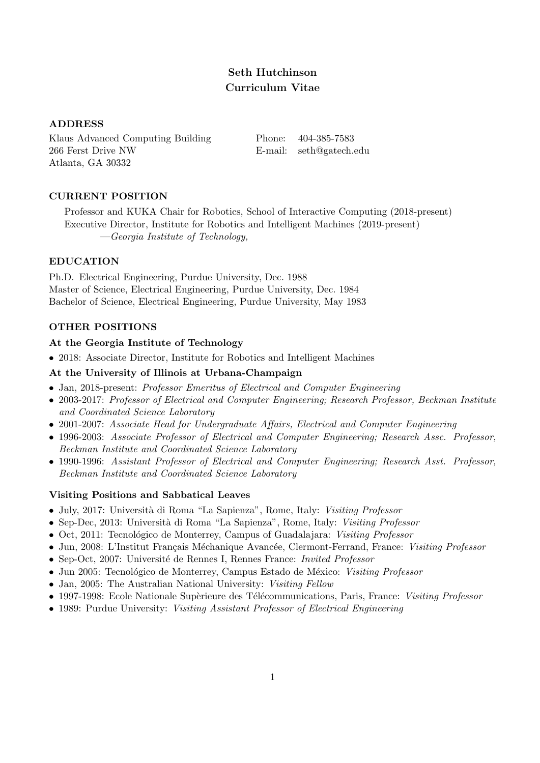# Seth Hutchinson Curriculum Vitae

## ADDRESS

Klaus Advanced Computing Building Phone: 404-385-7583 266 Ferst Drive NW E-mail: seth@gatech.edu Atlanta, GA 30332

## CURRENT POSITION

Professor and KUKA Chair for Robotics, School of Interactive Computing (2018-present) Executive Director, Institute for Robotics and Intelligent Machines (2019-present) —Georgia Institute of Technology,

## EDUCATION

Ph.D. Electrical Engineering, Purdue University, Dec. 1988 Master of Science, Electrical Engineering, Purdue University, Dec. 1984 Bachelor of Science, Electrical Engineering, Purdue University, May 1983

## OTHER POSITIONS

### At the Georgia Institute of Technology

• 2018: Associate Director, Institute for Robotics and Intelligent Machines

## At the University of Illinois at Urbana-Champaign

- Jan, 2018-present: Professor Emeritus of Electrical and Computer Engineering
- 2003-2017: Professor of Electrical and Computer Engineering; Research Professor, Beckman Institute and Coordinated Science Laboratory
- 2001-2007: Associate Head for Undergraduate Affairs, Electrical and Computer Engineering
- 1996-2003: Associate Professor of Electrical and Computer Engineering; Research Assc. Professor, Beckman Institute and Coordinated Science Laboratory
- 1990-1996: Assistant Professor of Electrical and Computer Engineering; Research Asst. Professor, Beckman Institute and Coordinated Science Laboratory

## Visiting Positions and Sabbatical Leaves

- July, 2017: Università di Roma "La Sapienza", Rome, Italy: Visiting Professor
- Sep-Dec, 2013: Università di Roma "La Sapienza", Rome, Italy: Visiting Professor
- Oct, 2011: Tecnológico de Monterrey, Campus of Guadalajara: Visiting Professor
- Jun, 2008: L'Institut Français Méchanique Avancée, Clermont-Ferrand, France: Visiting Professor
- Sep-Oct, 2007: Université de Rennes I, Rennes France: Invited Professor
- Jun 2005: Tecnológico de Monterrey, Campus Estado de México: Visiting Professor
- Jan, 2005: The Australian National University: Visiting Fellow
- 1997-1998: Ecole Nationale Supèrieure des Télécommunications, Paris, France: Visiting Professor
- 1989: Purdue University: Visiting Assistant Professor of Electrical Engineering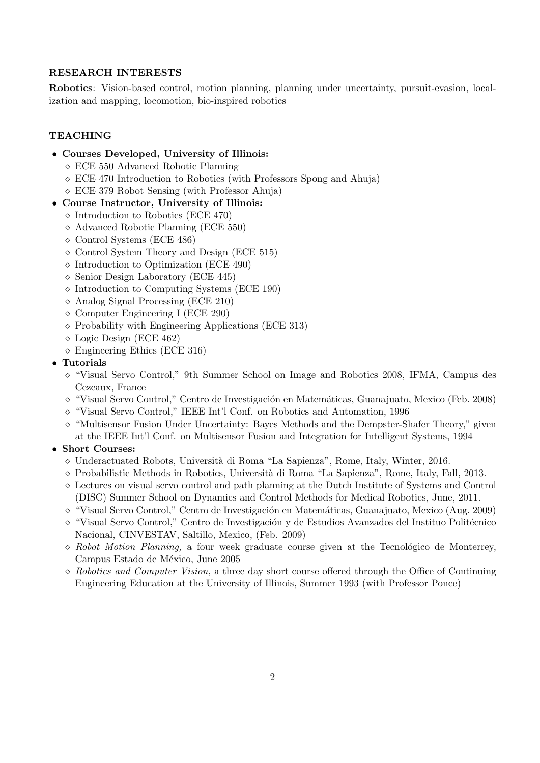### RESEARCH INTERESTS

Robotics: Vision-based control, motion planning, planning under uncertainty, pursuit-evasion, localization and mapping, locomotion, bio-inspired robotics

## **TEACHING**

- Courses Developed, University of Illinois:
	- ECE 550 Advanced Robotic Planning
	- ECE 470 Introduction to Robotics (with Professors Spong and Ahuja)
	- ECE 379 Robot Sensing (with Professor Ahuja)
- Course Instructor, University of Illinois:
	- $\Diamond$  Introduction to Robotics (ECE 470)
	- Advanced Robotic Planning (ECE 550)
	- $\diamond$  Control Systems (ECE 486)
	- $\diamond$  Control System Theory and Design (ECE 515)
	- $\Diamond$  Introduction to Optimization (ECE 490)
	- $\Diamond$  Senior Design Laboratory (ECE 445)
	- $\Diamond$  Introduction to Computing Systems (ECE 190)
	- Analog Signal Processing (ECE 210)
	- $\Diamond$  Computer Engineering I (ECE 290)
	- $\Diamond$  Probability with Engineering Applications (ECE 313)
	- Logic Design (ECE 462)
	- $\Diamond$  Engineering Ethics (ECE 316)
- Tutorials
	- "Visual Servo Control," 9th Summer School on Image and Robotics 2008, IFMA, Campus des Cezeaux, France
	- $\Diamond$  "Visual Servo Control," Centro de Investigación en Matemáticas, Guanajuato, Mexico (Feb. 2008)
	- $\Diamond$  "Visual Servo Control," IEEE Int'l Conf. on Robotics and Automation, 1996
	- $\Diamond$  "Multisensor Fusion Under Uncertainty: Bayes Methods and the Dempster-Shafer Theory," given at the IEEE Int'l Conf. on Multisensor Fusion and Integration for Intelligent Systems, 1994

### • Short Courses:

- $\circ$  Underactuated Robots, Università di Roma "La Sapienza", Rome, Italy, Winter, 2016.
- $\circ$  Probabilistic Methods in Robotics, Università di Roma "La Sapienza", Rome, Italy, Fall, 2013.
- $\Diamond$  Lectures on visual servo control and path planning at the Dutch Institute of Systems and Control (DISC) Summer School on Dynamics and Control Methods for Medical Robotics, June, 2011.
- $\Diamond$  "Visual Servo Control," Centro de Investigación en Matemáticas, Guanajuato, Mexico (Aug. 2009)
- $\circ$  "Visual Servo Control," Centro de Investigación y de Estudios Avanzados del Instituo Politécnico Nacional, CINVESTAV, Saltillo, Mexico, (Feb. 2009)
- $\Diamond$  Robot Motion Planning, a four week graduate course given at the Tecnológico de Monterrey, Campus Estado de México, June 2005
- $\Diamond$  Robotics and Computer Vision, a three day short course offered through the Office of Continuing Engineering Education at the University of Illinois, Summer 1993 (with Professor Ponce)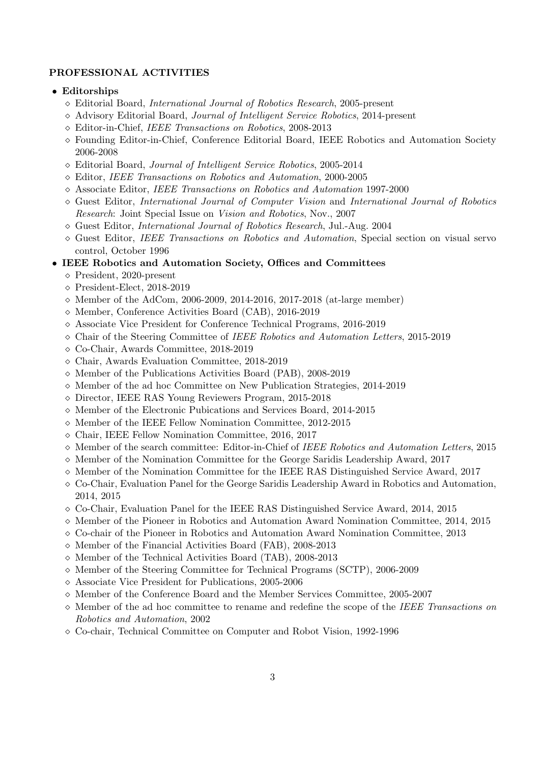### PROFESSIONAL ACTIVITIES

#### • Editorships

- $\Diamond$  Editorial Board, International Journal of Robotics Research, 2005-present
- Advisory Editorial Board, Journal of Intelligent Service Robotics, 2014-present
- Editor-in-Chief, IEEE Transactions on Robotics, 2008-2013
- Founding Editor-in-Chief, Conference Editorial Board, IEEE Robotics and Automation Society 2006-2008
- Editorial Board, Journal of Intelligent Service Robotics, 2005-2014
- Editor, IEEE Transactions on Robotics and Automation, 2000-2005
- Associate Editor, IEEE Transactions on Robotics and Automation 1997-2000
- $\Diamond$  Guest Editor, International Journal of Computer Vision and International Journal of Robotics Research: Joint Special Issue on Vision and Robotics, Nov., 2007
- $\Diamond$  Guest Editor, *International Journal of Robotics Research*, Jul.-Aug. 2004
- $\Diamond$  Guest Editor, IEEE Transactions on Robotics and Automation, Special section on visual servo control, October 1996
- IEEE Robotics and Automation Society, Offices and Committees
	- President, 2020-present
	- $\Diamond$  President-Elect, 2018-2019
	- $\diamond$  Member of the AdCom, 2006-2009, 2014-2016, 2017-2018 (at-large member)
	- Member, Conference Activities Board (CAB), 2016-2019
	- $\Diamond$  Associate Vice President for Conference Technical Programs, 2016-2019
	- $\Diamond$  Chair of the Steering Committee of IEEE Robotics and Automation Letters, 2015-2019
	- Co-Chair, Awards Committee, 2018-2019
	- Chair, Awards Evaluation Committee, 2018-2019
	- $\diamond$  Member of the Publications Activities Board (PAB), 2008-2019
	- $\diamond$  Member of the ad hoc Committee on New Publication Strategies, 2014-2019
	- Director, IEEE RAS Young Reviewers Program, 2015-2018
	- $\diamond$  Member of the Electronic Pubications and Services Board, 2014-2015
	- $\diamond$  Member of the IEEE Fellow Nomination Committee, 2012-2015
	- Chair, IEEE Fellow Nomination Committee, 2016, 2017
	- $\diamond$  Member of the search committee: Editor-in-Chief of IEEE Robotics and Automation Letters, 2015
	- $\diamond$  Member of the Nomination Committee for the George Saridis Leadership Award, 2017
	- $\diamond$  Member of the Nomination Committee for the IEEE RAS Distinguished Service Award, 2017
	- $\Diamond$  Co-Chair, Evaluation Panel for the George Saridis Leadership Award in Robotics and Automation, 2014, 2015
	- $\circ$  Co-Chair, Evaluation Panel for the IEEE RAS Distinguished Service Award, 2014, 2015
	- $\diamond$  Member of the Pioneer in Robotics and Automation Award Nomination Committee, 2014, 2015
	- $\Diamond$  Co-chair of the Pioneer in Robotics and Automation Award Nomination Committee, 2013
	- $\diamond$  Member of the Financial Activities Board (FAB), 2008-2013
	- $\diamond$  Member of the Technical Activities Board (TAB), 2008-2013
	- $\Diamond$  Member of the Steering Committee for Technical Programs (SCTP), 2006-2009
	- Associate Vice President for Publications, 2005-2006
	- $\diamond$  Member of the Conference Board and the Member Services Committee, 2005-2007
	- $\Diamond$  Member of the ad hoc committee to rename and redefine the scope of the IEEE Transactions on Robotics and Automation, 2002
	- $\Diamond$  Co-chair, Technical Committee on Computer and Robot Vision, 1992-1996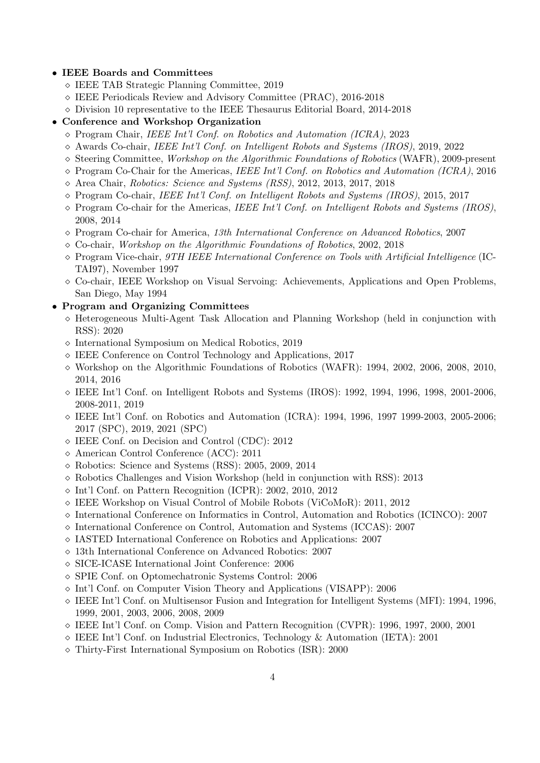### • IEEE Boards and Committees

- IEEE TAB Strategic Planning Committee, 2019
- IEEE Periodicals Review and Advisory Committee (PRAC), 2016-2018
- $\diamond$  Division 10 representative to the IEEE Thesaurus Editorial Board, 2014-2018
- Conference and Workshop Organization
	- $\Diamond$  Program Chair, IEEE Int'l Conf. on Robotics and Automation (ICRA), 2023
	- $\Diamond$  Awards Co-chair, IEEE Int'l Conf. on Intelligent Robots and Systems (IROS), 2019, 2022
	- $\Diamond$  Steering Committee, *Workshop on the Algorithmic Foundations of Robotics* (WAFR), 2009-present
	- $\Diamond$  Program Co-Chair for the Americas, IEEE Int'l Conf. on Robotics and Automation (ICRA), 2016
	- Area Chair, Robotics: Science and Systems (RSS), 2012, 2013, 2017, 2018
	- $\Diamond$  Program Co-chair, IEEE Int'l Conf. on Intelligent Robots and Systems (IROS), 2015, 2017
	- $\Diamond$  Program Co-chair for the Americas, IEEE Int'l Conf. on Intelligent Robots and Systems (IROS), 2008, 2014
	- $\Diamond$  Program Co-chair for America, 13th International Conference on Advanced Robotics, 2007
	- Co-chair, Workshop on the Algorithmic Foundations of Robotics, 2002, 2018
	- $\Diamond$  Program Vice-chair, *9TH IEEE International Conference on Tools with Artificial Intelligence* (IC-TAI97), November 1997
	- $\Diamond$  Co-chair, IEEE Workshop on Visual Servoing: Achievements, Applications and Open Problems, San Diego, May 1994

## • Program and Organizing Committees

- $\Diamond$  Heterogeneous Multi-Agent Task Allocation and Planning Workshop (held in conjunction with RSS): 2020
- $\Diamond$  International Symposium on Medical Robotics, 2019
- IEEE Conference on Control Technology and Applications, 2017
- $\Diamond$  Workshop on the Algorithmic Foundations of Robotics (WAFR): 1994, 2002, 2006, 2008, 2010, 2014, 2016
- $\Diamond$  IEEE Int'l Conf. on Intelligent Robots and Systems (IROS): 1992, 1994, 1996, 1998, 2001-2006, 2008-2011, 2019
- $\circ$  IEEE Int'l Conf. on Robotics and Automation (ICRA): 1994, 1996, 1997 1999-2003, 2005-2006; 2017 (SPC), 2019, 2021 (SPC)
- IEEE Conf. on Decision and Control (CDC): 2012
- American Control Conference (ACC): 2011
- Robotics: Science and Systems (RSS): 2005, 2009, 2014
- $\diamond$  Robotics Challenges and Vision Workshop (held in conjunction with RSS): 2013
- Int'l Conf. on Pattern Recognition (ICPR): 2002, 2010, 2012
- $\Diamond$  IEEE Workshop on Visual Control of Mobile Robots (ViCoMoR): 2011, 2012
- $\Diamond$  International Conference on Informatics in Control, Automation and Robotics (ICINCO): 2007
- $\Diamond$  International Conference on Control, Automation and Systems (ICCAS): 2007
- IASTED International Conference on Robotics and Applications: 2007
- 13th International Conference on Advanced Robotics: 2007
- SICE-ICASE International Joint Conference: 2006
- SPIE Conf. on Optomechatronic Systems Control: 2006
- $\Diamond$  Int'l Conf. on Computer Vision Theory and Applications (VISAPP): 2006
- $\circ$  IEEE Int'l Conf. on Multisensor Fusion and Integration for Intelligent Systems (MFI): 1994, 1996, 1999, 2001, 2003, 2006, 2008, 2009
- $\Diamond$  IEEE Int'l Conf. on Comp. Vision and Pattern Recognition (CVPR): 1996, 1997, 2000, 2001
- $\Diamond$  IEEE Int'l Conf. on Industrial Electronics, Technology & Automation (IETA): 2001
- Thirty-First International Symposium on Robotics (ISR): 2000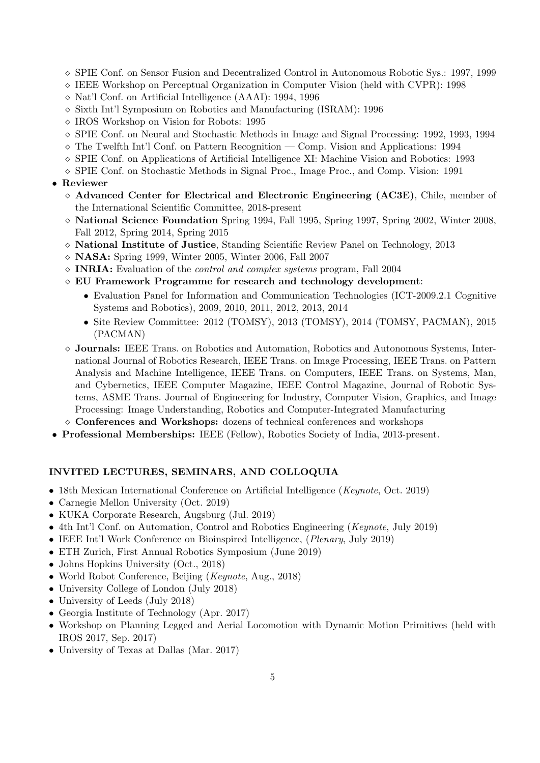- $\Diamond$  SPIE Conf. on Sensor Fusion and Decentralized Control in Autonomous Robotic Sys.: 1997, 1999
- IEEE Workshop on Perceptual Organization in Computer Vision (held with CVPR): 1998
- Nat'l Conf. on Artificial Intelligence (AAAI): 1994, 1996
- $\Diamond$  Sixth Int'l Symposium on Robotics and Manufacturing (ISRAM): 1996
- IROS Workshop on Vision for Robots: 1995
- $\circ$  SPIE Conf. on Neural and Stochastic Methods in Image and Signal Processing: 1992, 1993, 1994
- $\Diamond$  The Twelfth Int'l Conf. on Pattern Recognition Comp. Vision and Applications: 1994
- $\Diamond$  SPIE Conf. on Applications of Artificial Intelligence XI: Machine Vision and Robotics: 1993
- $\Diamond$  SPIE Conf. on Stochastic Methods in Signal Proc., Image Proc., and Comp. Vision: 1991

## • Reviewer

- $\Diamond$  Advanced Center for Electrical and Electronic Engineering (AC3E), Chile, member of the International Scientific Committee, 2018-present
- $\Diamond$  **National Science Foundation** Spring 1994, Fall 1995, Spring 1997, Spring 2002, Winter 2008, Fall 2012, Spring 2014, Spring 2015
- National Institute of Justice, Standing Scientific Review Panel on Technology, 2013
- $\diamond$  **NASA:** Spring 1999, Winter 2005, Winter 2006, Fall 2007
- $\Diamond$  INRIA: Evaluation of the *control and complex systems* program, Fall 2004
- $\Diamond$  EU Framework Programme for research and technology development:
	- Evaluation Panel for Information and Communication Technologies (ICT-2009.2.1 Cognitive Systems and Robotics), 2009, 2010, 2011, 2012, 2013, 2014
	- Site Review Committee: 2012 (TOMSY), 2013 (TOMSY), 2014 (TOMSY, PACMAN), 2015 (PACMAN)
- $\Diamond$  Journals: IEEE Trans. on Robotics and Automation, Robotics and Autonomous Systems, International Journal of Robotics Research, IEEE Trans. on Image Processing, IEEE Trans. on Pattern Analysis and Machine Intelligence, IEEE Trans. on Computers, IEEE Trans. on Systems, Man, and Cybernetics, IEEE Computer Magazine, IEEE Control Magazine, Journal of Robotic Systems, ASME Trans. Journal of Engineering for Industry, Computer Vision, Graphics, and Image Processing: Image Understanding, Robotics and Computer-Integrated Manufacturing
- $\diamond$  Conferences and Workshops: dozens of technical conferences and workshops
- Professional Memberships: IEEE (Fellow), Robotics Society of India, 2013-present.

### INVITED LECTURES, SEMINARS, AND COLLOQUIA

- 18th Mexican International Conference on Artificial Intelligence (Keynote, Oct. 2019)
- Carnegie Mellon University (Oct. 2019)
- KUKA Corporate Research, Augsburg (Jul. 2019)
- 4th Int'l Conf. on Automation, Control and Robotics Engineering (*Keynote*, July 2019)
- IEEE Int'l Work Conference on Bioinspired Intelligence, (Plenary, July 2019)
- ETH Zurich, First Annual Robotics Symposium (June 2019)
- Johns Hopkins University (Oct., 2018)
- World Robot Conference, Beijing (*Keynote*, Aug., 2018)
- University College of London (July 2018)
- University of Leeds (July 2018)
- Georgia Institute of Technology (Apr. 2017)
- Workshop on Planning Legged and Aerial Locomotion with Dynamic Motion Primitives (held with IROS 2017, Sep. 2017)
- University of Texas at Dallas (Mar. 2017)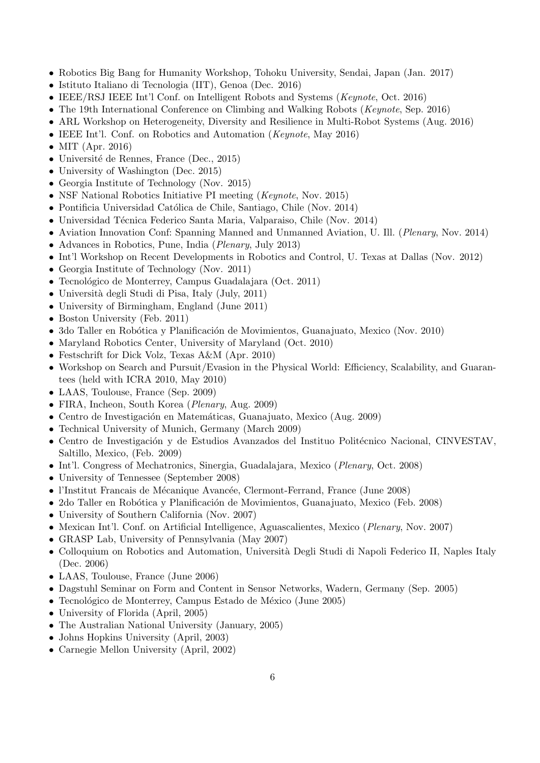- Robotics Big Bang for Humanity Workshop, Tohoku University, Sendai, Japan (Jan. 2017)
- Istituto Italiano di Tecnologia (IIT), Genoa (Dec. 2016)
- IEEE/RSJ IEEE Int'l Conf. on Intelligent Robots and Systems (Keynote, Oct. 2016)
- The 19th International Conference on Climbing and Walking Robots (Keynote, Sep. 2016)
- ARL Workshop on Heterogeneity, Diversity and Resilience in Multi-Robot Systems (Aug. 2016)
- IEEE Int'l. Conf. on Robotics and Automation (*Keynote*, May 2016)
- MIT (Apr. 2016)
- Université de Rennes, France (Dec., 2015)
- University of Washington (Dec. 2015)
- Georgia Institute of Technology (Nov. 2015)
- NSF National Robotics Initiative PI meeting (*Keynote*, Nov. 2015)
- Pontificia Universidad Católica de Chile, Santiago, Chile (Nov. 2014)
- Universidad Técnica Federico Santa Maria, Valparaiso, Chile (Nov. 2014)
- Aviation Innovation Conf: Spanning Manned and Unmanned Aviation, U. Ill. (Plenary, Nov. 2014)
- Advances in Robotics, Pune, India (Plenary, July 2013)
- Int'l Workshop on Recent Developments in Robotics and Control, U. Texas at Dallas (Nov. 2012)
- Georgia Institute of Technology (Nov. 2011)
- Tecnológico de Monterrey, Campus Guadalajara (Oct. 2011)
- Università degli Studi di Pisa, Italy (July, 2011)
- University of Birmingham, England (June 2011)
- Boston University (Feb. 2011)
- 3do Taller en Robótica y Planificación de Movimientos, Guanajuato, Mexico (Nov. 2010)
- Maryland Robotics Center, University of Maryland (Oct. 2010)
- Festschrift for Dick Volz, Texas A&M (Apr. 2010)
- Workshop on Search and Pursuit/Evasion in the Physical World: Efficiency, Scalability, and Guarantees (held with ICRA 2010, May 2010)
- LAAS, Toulouse, France (Sep. 2009)
- FIRA, Incheon, South Korea (*Plenary*, Aug. 2009)
- Centro de Investigación en Matemáticas, Guanajuato, Mexico (Aug. 2009)
- Technical University of Munich, Germany (March 2009)
- Centro de Investigación y de Estudios Avanzados del Instituo Politécnico Nacional, CINVESTAV, Saltillo, Mexico, (Feb. 2009)
- Int'l. Congress of Mechatronics, Sinergia, Guadalajara, Mexico (Plenary, Oct. 2008)
- University of Tennessee (September 2008)
- l'Institut Francais de Mécanique Avancée, Clermont-Ferrand, France (June 2008)
- 2do Taller en Robótica y Planificación de Movimientos, Guanajuato, Mexico (Feb. 2008)
- University of Southern California (Nov. 2007)
- Mexican Int'l. Conf. on Artificial Intelligence, Aguascalientes, Mexico (*Plenary*, Nov. 2007)
- GRASP Lab, University of Pennsylvania (May 2007)
- Colloquium on Robotics and Automation, Università Degli Studi di Napoli Federico II, Naples Italy (Dec. 2006)
- LAAS, Toulouse, France (June 2006)
- Dagstuhl Seminar on Form and Content in Sensor Networks, Wadern, Germany (Sep. 2005)
- Tecnológico de Monterrey, Campus Estado de México (June 2005)
- University of Florida (April, 2005)
- The Australian National University (January, 2005)
- Johns Hopkins University (April, 2003)
- Carnegie Mellon University (April, 2002)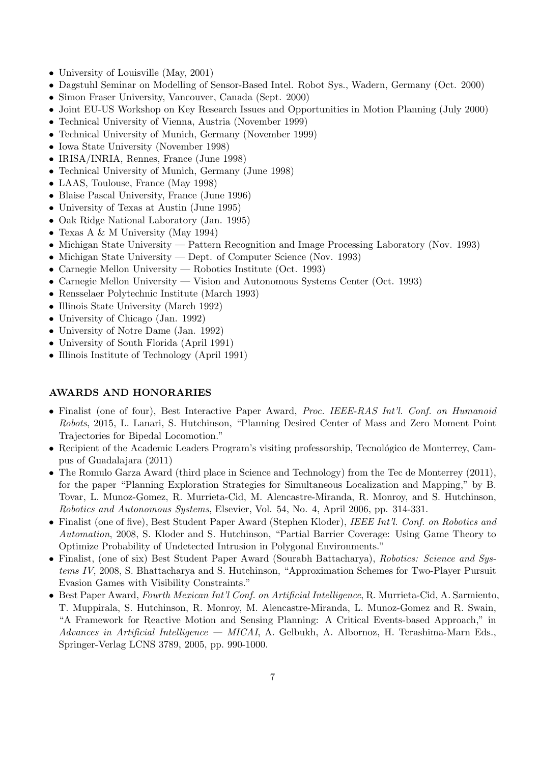- University of Louisville (May, 2001)
- Dagstuhl Seminar on Modelling of Sensor-Based Intel. Robot Sys., Wadern, Germany (Oct. 2000)
- Simon Fraser University, Vancouver, Canada (Sept. 2000)
- Joint EU-US Workshop on Key Research Issues and Opportunities in Motion Planning (July 2000)
- Technical University of Vienna, Austria (November 1999)
- Technical University of Munich, Germany (November 1999)
- Iowa State University (November 1998)
- IRISA/INRIA, Rennes, France (June 1998)
- Technical University of Munich, Germany (June 1998)
- LAAS, Toulouse, France (May 1998)
- Blaise Pascal University, France (June 1996)
- University of Texas at Austin (June 1995)
- Oak Ridge National Laboratory (Jan. 1995)
- Texas A & M University (May 1994)
- Michigan State University Pattern Recognition and Image Processing Laboratory (Nov. 1993)
- Michigan State University Dept. of Computer Science (Nov. 1993)
- Carnegie Mellon University Robotics Institute (Oct. 1993)
- Carnegie Mellon University Vision and Autonomous Systems Center (Oct. 1993)
- Rensselaer Polytechnic Institute (March 1993)
- Illinois State University (March 1992)
- University of Chicago (Jan. 1992)
- University of Notre Dame (Jan. 1992)
- University of South Florida (April 1991)
- Illinois Institute of Technology (April 1991)

### AWARDS AND HONORARIES

- Finalist (one of four), Best Interactive Paper Award, Proc. IEEE-RAS Int'l. Conf. on Humanoid Robots, 2015, L. Lanari, S. Hutchinson, "Planning Desired Center of Mass and Zero Moment Point Trajectories for Bipedal Locomotion."
- Recipient of the Academic Leaders Program's visiting professorship, Tecnológico de Monterrey, Campus of Guadalajara (2011)
- The Romulo Garza Award (third place in Science and Technology) from the Tec de Monterrey (2011), for the paper "Planning Exploration Strategies for Simultaneous Localization and Mapping," by B. Tovar, L. Munoz-Gomez, R. Murrieta-Cid, M. Alencastre-Miranda, R. Monroy, and S. Hutchinson, Robotics and Autonomous Systems, Elsevier, Vol. 54, No. 4, April 2006, pp. 314-331.
- Finalist (one of five), Best Student Paper Award (Stephen Kloder), IEEE Int'l. Conf. on Robotics and Automation, 2008, S. Kloder and S. Hutchinson, "Partial Barrier Coverage: Using Game Theory to Optimize Probability of Undetected Intrusion in Polygonal Environments."
- Finalist, (one of six) Best Student Paper Award (Sourabh Battacharya), Robotics: Science and Systems IV, 2008, S. Bhattacharya and S. Hutchinson, "Approximation Schemes for Two-Player Pursuit Evasion Games with Visibility Constraints."
- Best Paper Award, Fourth Mexican Int'l Conf. on Artificial Intelligence, R. Murrieta-Cid, A. Sarmiento, T. Muppirala, S. Hutchinson, R. Monroy, M. Alencastre-Miranda, L. Munoz-Gomez and R. Swain, "A Framework for Reactive Motion and Sensing Planning: A Critical Events-based Approach," in Advances in Artificial Intelligence — MICAI, A. Gelbukh, A. Albornoz, H. Terashima-Marn Eds., Springer-Verlag LCNS 3789, 2005, pp. 990-1000.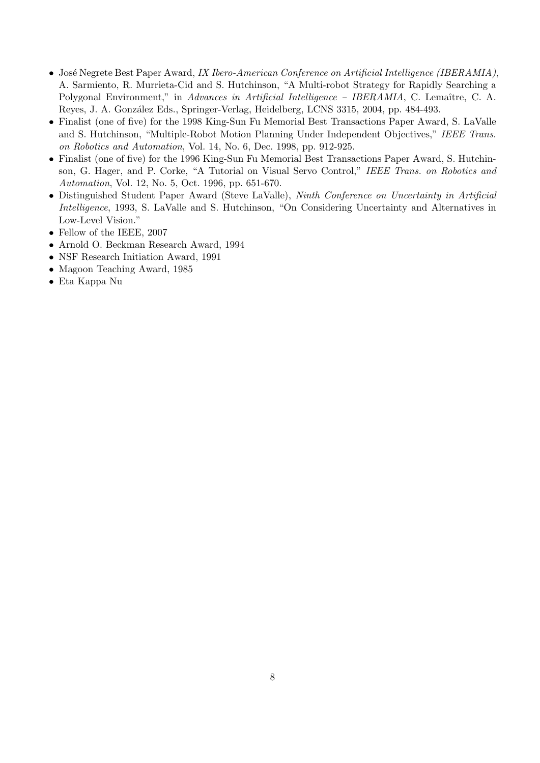- José Negrete Best Paper Award, IX Ibero-American Conference on Artificial Intelligence (IBERAMIA), A. Sarmiento, R. Murrieta-Cid and S. Hutchinson, "A Multi-robot Strategy for Rapidly Searching a Polygonal Environment," in Advances in Artificial Intelligence – IBERAMIA, C. Lemaître, C. A. Reyes, J. A. González Eds., Springer-Verlag, Heidelberg, LCNS 3315, 2004, pp. 484-493.
- Finalist (one of five) for the 1998 King-Sun Fu Memorial Best Transactions Paper Award, S. LaValle and S. Hutchinson, "Multiple-Robot Motion Planning Under Independent Objectives," IEEE Trans. on Robotics and Automation, Vol. 14, No. 6, Dec. 1998, pp. 912-925.
- Finalist (one of five) for the 1996 King-Sun Fu Memorial Best Transactions Paper Award, S. Hutchinson, G. Hager, and P. Corke, "A Tutorial on Visual Servo Control," IEEE Trans. on Robotics and Automation, Vol. 12, No. 5, Oct. 1996, pp. 651-670.
- Distinguished Student Paper Award (Steve LaValle), Ninth Conference on Uncertainty in Artificial Intelligence, 1993, S. LaValle and S. Hutchinson, "On Considering Uncertainty and Alternatives in Low-Level Vision."
- Fellow of the IEEE, 2007
- Arnold O. Beckman Research Award, 1994
- NSF Research Initiation Award, 1991
- Magoon Teaching Award, 1985
- Eta Kappa Nu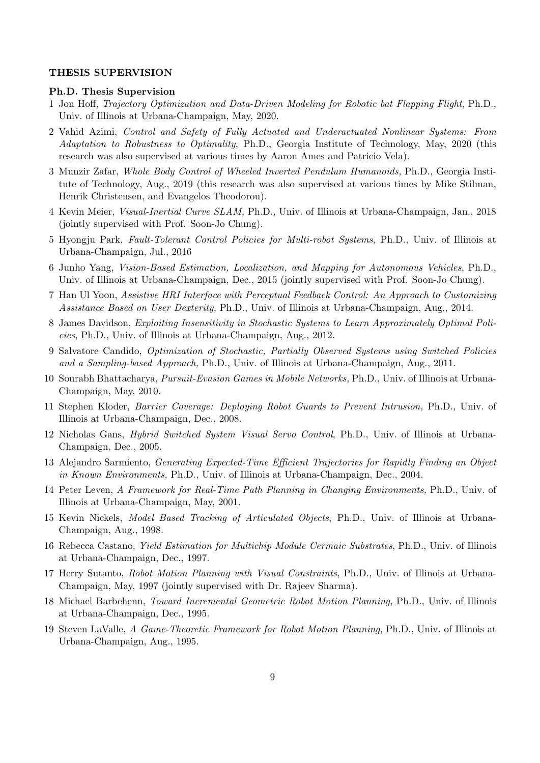## THESIS SUPERVISION

#### Ph.D. Thesis Supervision

- 1 Jon Hoff, Trajectory Optimization and Data-Driven Modeling for Robotic bat Flapping Flight, Ph.D., Univ. of Illinois at Urbana-Champaign, May, 2020.
- 2 Vahid Azimi, Control and Safety of Fully Actuated and Underactuated Nonlinear Systems: From Adaptation to Robustness to Optimality, Ph.D., Georgia Institute of Technology, May, 2020 (this research was also supervised at various times by Aaron Ames and Patricio Vela).
- 3 Munzir Zafar, Whole Body Control of Wheeled Inverted Pendulum Humanoids, Ph.D., Georgia Institute of Technology, Aug., 2019 (this research was also supervised at various times by Mike Stilman, Henrik Christensen, and Evangelos Theodorou).
- 4 Kevin Meier, Visual-Inertial Curve SLAM, Ph.D., Univ. of Illinois at Urbana-Champaign, Jan., 2018 (jointly supervised with Prof. Soon-Jo Chung).
- 5 Hyongju Park, Fault-Tolerant Control Policies for Multi-robot Systems, Ph.D., Univ. of Illinois at Urbana-Champaign, Jul., 2016
- 6 Junho Yang, Vision-Based Estimation, Localization, and Mapping for Autonomous Vehicles, Ph.D., Univ. of Illinois at Urbana-Champaign, Dec., 2015 (jointly supervised with Prof. Soon-Jo Chung).
- 7 Han Ul Yoon, Assistive HRI Interface with Perceptual Feedback Control: An Approach to Customizing Assistance Based on User Dexterity, Ph.D., Univ. of Illinois at Urbana-Champaign, Aug., 2014.
- 8 James Davidson, Exploiting Insensitivity in Stochastic Systems to Learn Approximately Optimal Policies, Ph.D., Univ. of Illinois at Urbana-Champaign, Aug., 2012.
- 9 Salvatore Candido, Optimization of Stochastic, Partially Observed Systems using Switched Policies and a Sampling-based Approach, Ph.D., Univ. of Illinois at Urbana-Champaign, Aug., 2011.
- 10 Sourabh Bhattacharya, Pursuit-Evasion Games in Mobile Networks, Ph.D., Univ. of Illinois at Urbana-Champaign, May, 2010.
- 11 Stephen Kloder, Barrier Coverage: Deploying Robot Guards to Prevent Intrusion, Ph.D., Univ. of Illinois at Urbana-Champaign, Dec., 2008.
- 12 Nicholas Gans, Hybrid Switched System Visual Servo Control, Ph.D., Univ. of Illinois at Urbana-Champaign, Dec., 2005.
- 13 Alejandro Sarmiento, Generating Expected-Time Efficient Trajectories for Rapidly Finding an Object in Known Environments, Ph.D., Univ. of Illinois at Urbana-Champaign, Dec., 2004.
- 14 Peter Leven, A Framework for Real-Time Path Planning in Changing Environments, Ph.D., Univ. of Illinois at Urbana-Champaign, May, 2001.
- 15 Kevin Nickels, Model Based Tracking of Articulated Objects, Ph.D., Univ. of Illinois at Urbana-Champaign, Aug., 1998.
- 16 Rebecca Castano, Yield Estimation for Multichip Module Cermaic Substrates, Ph.D., Univ. of Illinois at Urbana-Champaign, Dec., 1997.
- 17 Herry Sutanto, Robot Motion Planning with Visual Constraints, Ph.D., Univ. of Illinois at Urbana-Champaign, May, 1997 (jointly supervised with Dr. Rajeev Sharma).
- 18 Michael Barbehenn, Toward Incremental Geometric Robot Motion Planning, Ph.D., Univ. of Illinois at Urbana-Champaign, Dec., 1995.
- 19 Steven LaValle, A Game-Theoretic Framework for Robot Motion Planning, Ph.D., Univ. of Illinois at Urbana-Champaign, Aug., 1995.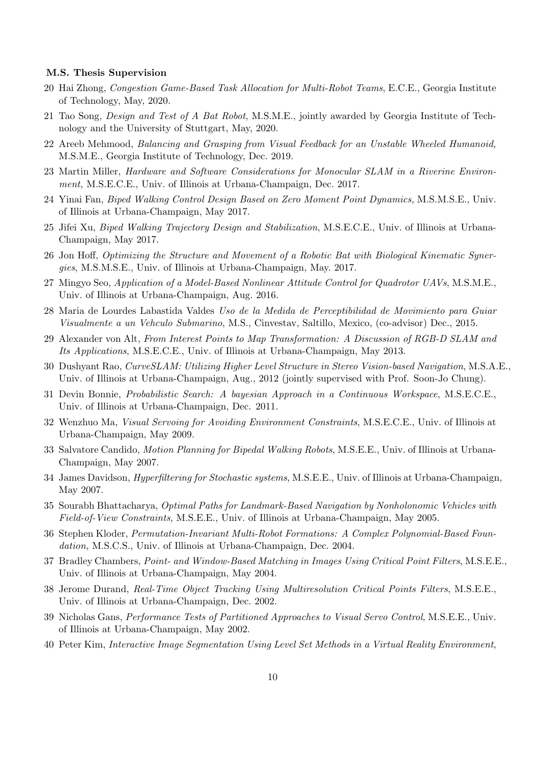#### M.S. Thesis Supervision

- 20 Hai Zhong, Congestion Game-Based Task Allocation for Multi-Robot Teams, E.C.E., Georgia Institute of Technology, May, 2020.
- 21 Tao Song, Design and Test of A Bat Robot, M.S.M.E., jointly awarded by Georgia Institute of Technology and the University of Stuttgart, May, 2020.
- 22 Areeb Mehmood, Balancing and Grasping from Visual Feedback for an Unstable Wheeled Humanoid, M.S.M.E., Georgia Institute of Technology, Dec. 2019.
- 23 Martin Miller, Hardware and Software Considerations for Monocular SLAM in a Riverine Environment, M.S.E.C.E., Univ. of Illinois at Urbana-Champaign, Dec. 2017.
- 24 Yinai Fan, Biped Walking Control Design Based on Zero Moment Point Dynamics, M.S.M.S.E., Univ. of Illinois at Urbana-Champaign, May 2017.
- 25 Jifei Xu, Biped Walking Trajectory Design and Stabilization, M.S.E.C.E., Univ. of Illinois at Urbana-Champaign, May 2017.
- 26 Jon Hoff, Optimizing the Structure and Movement of a Robotic Bat with Biological Kinematic Synergies, M.S.M.S.E., Univ. of Illinois at Urbana-Champaign, May. 2017.
- 27 Mingyo Seo, Application of a Model-Based Nonlinear Attitude Control for Quadrotor UAVs, M.S.M.E., Univ. of Illinois at Urbana-Champaign, Aug. 2016.
- 28 Maria de Lourdes Labastida Valdes Uso de la Medida de Perceptibilidad de Movimiento para Guiar Visualmente a un Vehculo Submarino, M.S., Cinvestav, Saltillo, Mexico, (co-advisor) Dec., 2015.
- 29 Alexander von Alt, From Interest Points to Map Transformation: A Discussion of RGB-D SLAM and Its Applications, M.S.E.C.E., Univ. of Illinois at Urbana-Champaign, May 2013.
- 30 Dushyant Rao, CurveSLAM: Utilizing Higher Level Structure in Stereo Vision-based Navigation, M.S.A.E., Univ. of Illinois at Urbana-Champaign, Aug., 2012 (jointly supervised with Prof. Soon-Jo Chung).
- 31 Devin Bonnie, Probabilistic Search: A bayesian Approach in a Continuous Workspace, M.S.E.C.E., Univ. of Illinois at Urbana-Champaign, Dec. 2011.
- 32 Wenzhuo Ma, Visual Servoing for Avoiding Environment Constraints, M.S.E.C.E., Univ. of Illinois at Urbana-Champaign, May 2009.
- 33 Salvatore Candido, Motion Planning for Bipedal Walking Robots, M.S.E.E., Univ. of Illinois at Urbana-Champaign, May 2007.
- 34 James Davidson, Hyperfiltering for Stochastic systems, M.S.E.E., Univ. of Illinois at Urbana-Champaign, May 2007.
- 35 Sourabh Bhattacharya, Optimal Paths for Landmark-Based Navigation by Nonholonomic Vehicles with Field-of-View Constraints, M.S.E.E., Univ. of Illinois at Urbana-Champaign, May 2005.
- 36 Stephen Kloder, Permutation-Invariant Multi-Robot Formations: A Complex Polynomial-Based Foundation, M.S.C.S., Univ. of Illinois at Urbana-Champaign, Dec. 2004.
- 37 Bradley Chambers, Point- and Window-Based Matching in Images Using Critical Point Filters, M.S.E.E., Univ. of Illinois at Urbana-Champaign, May 2004.
- 38 Jerome Durand, Real-Time Object Tracking Using Multiresolution Critical Points Filters, M.S.E.E., Univ. of Illinois at Urbana-Champaign, Dec. 2002.
- 39 Nicholas Gans, Performance Tests of Partitioned Approaches to Visual Servo Control, M.S.E.E., Univ. of Illinois at Urbana-Champaign, May 2002.
- 40 Peter Kim, Interactive Image Segmentation Using Level Set Methods in a Virtual Reality Environment,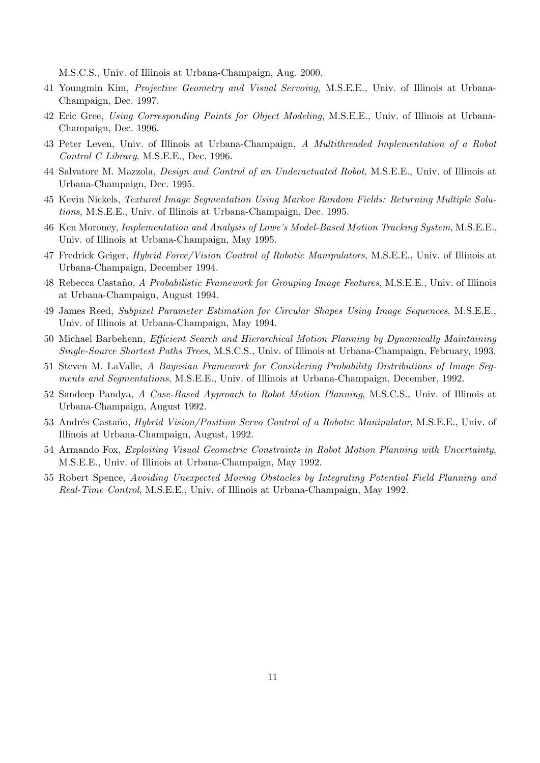M.S.C.S., Univ. of Illinois at Urbana-Champaign, Aug. 2000.

- 41 Youngmin Kim, Projective Geometry and Visual Servoing, M.S.E.E., Univ. of Illinois at Urbana-Champaign, Dec. 1997.
- 42 Eric Gree, Using Corresponding Points for Object Modeling, M.S.E.E., Univ. of Illinois at Urbana-Champaign, Dec. 1996.
- 43 Peter Leven, Univ. of Illinois at Urbana-Champaign, A Multithreaded Implementation of a Robot Control C Library, M.S.E.E., Dec. 1996.
- 44 Salvatore M. Mazzola, Design and Control of an Underactuated Robot, M.S.E.E., Univ. of Illinois at Urbana-Champaign, Dec. 1995.
- 45 Kevin Nickels, Textured Image Segmentation Using Markov Random Fields: Returning Multiple Solutions, M.S.E.E., Univ. of Illinois at Urbana-Champaign, Dec. 1995.
- 46 Ken Moroney, Implementation and Analysis of Lowe's Model-Based Motion Tracking System, M.S.E.E., Univ. of Illinois at Urbana-Champaign, May 1995.
- 47 Fredrick Geiger, Hybrid Force/Vision Control of Robotic Manipulators, M.S.E.E., Univ. of Illinois at Urbana-Champaign, December 1994.
- 48 Rebecca Casta˜no, A Probabilistic Framework for Grouping Image Features, M.S.E.E., Univ. of Illinois at Urbana-Champaign, August 1994.
- 49 James Reed, Subpixel Parameter Estimation for Circular Shapes Using Image Sequences, M.S.E.E., Univ. of Illinois at Urbana-Champaign, May 1994.
- 50 Michael Barbehenn, Efficient Search and Hierarchical Motion Planning by Dynamically Maintaining Single-Source Shortest Paths Trees, M.S.C.S., Univ. of Illinois at Urbana-Champaign, February, 1993.
- 51 Steven M. LaValle, A Bayesian Framework for Considering Probability Distributions of Image Segments and Segmentations, M.S.E.E., Univ. of Illinois at Urbana-Champaign, December, 1992.
- 52 Sandeep Pandya, A Case-Based Approach to Robot Motion Planning, M.S.C.S., Univ. of Illinois at Urbana-Champaign, August 1992.
- 53 Andrés Castaño, *Hybrid Vision/Position Servo Control of a Robotic Manipulator*, M.S.E.E., Univ. of Illinois at Urbana-Champaign, August, 1992.
- 54 Armando Fox, Exploiting Visual Geometric Constraints in Robot Motion Planning with Uncertainty, M.S.E.E., Univ. of Illinois at Urbana-Champaign, May 1992.
- 55 Robert Spence, Avoiding Unexpected Moving Obstacles by Integrating Potential Field Planning and Real-Time Control, M.S.E.E., Univ. of Illinois at Urbana-Champaign, May 1992.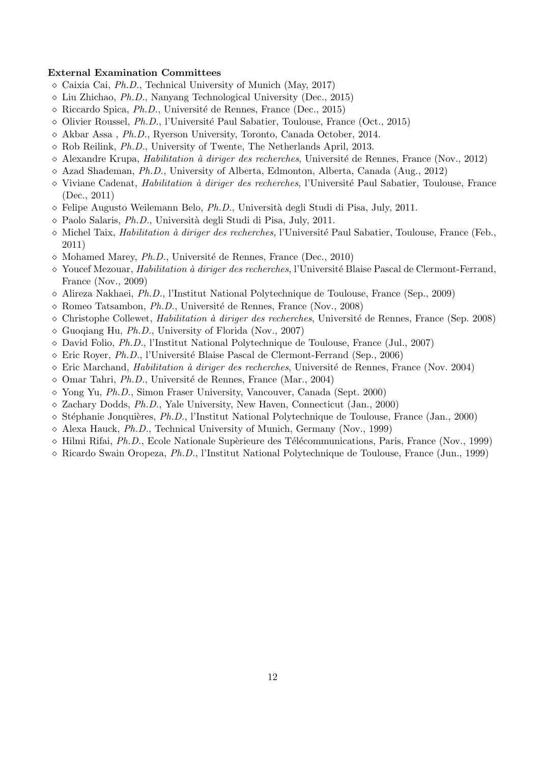#### External Examination Committees

- $\Diamond$  Caixia Cai, *Ph.D.*, Technical University of Munich (May, 2017)
- $\Diamond$  Liu Zhichao, Ph.D., Nanyang Technological University (Dec., 2015)
- $\Diamond$  Riccardo Spica, Ph.D., Université de Rennes, France (Dec., 2015)
- $\Diamond$  Olivier Roussel, *Ph.D.*, l'Université Paul Sabatier, Toulouse, France (Oct., 2015)
- $\Diamond$  Akbar Assa, Ph.D., Ryerson University, Toronto, Canada October, 2014.
- $\diamond$  Rob Reilink, *Ph.D.*, University of Twente, The Netherlands April, 2013.
- $\Diamond$  Alexandre Krupa, *Habilitation à diriger des recherches*, Université de Rennes, France (Nov., 2012)
- $\Diamond$  Azad Shademan, *Ph.D.*, University of Alberta, Edmonton, Alberta, Canada (Aug., 2012)
- $\Diamond$  Viviane Cadenat, *Habilitation à diriger des recherches*, l'Université Paul Sabatier, Toulouse, France (Dec., 2011)
- $\Diamond$  Felipe Augusto Weilemann Belo, *Ph.D.*, Università degli Studi di Pisa, July, 2011.
- $\Diamond$  Paolo Salaris, *Ph.D.*, Università degli Studi di Pisa, July, 2011.
- $\Diamond$  Michel Taix, *Habilitation à diriger des recherches*, l'Université Paul Sabatier, Toulouse, France (Feb., 2011)
- $\Diamond$  Mohamed Marey, *Ph.D.*, Université de Rennes, France (Dec., 2010)
- $\Diamond$  Youcef Mezouar, *Habilitation à diriger des recherches*, l'Université Blaise Pascal de Clermont-Ferrand, France (Nov., 2009)
- $\Diamond$  Alireza Nakhaei, *Ph.D.*, l'Institut National Polytechnique de Toulouse, France (Sep., 2009)
- $\diamond$  Romeo Tatsambon, *Ph.D.*, Université de Rennes, France (Nov., 2008)
- $\Diamond$  Christophe Collewet, *Habilitation à diriger des recherches*, Université de Rennes, France (Sep. 2008)
- $\Diamond$  Guogiang Hu, *Ph.D.*, University of Florida (Nov., 2007)
- $\Diamond$  David Folio, *Ph.D.*, l'Institut National Polytechnique de Toulouse, France (Jul., 2007)
- $\Diamond$  Eric Royer, Ph.D., l'Université Blaise Pascal de Clermont-Ferrand (Sep., 2006)
- $\Diamond$  Eric Marchand, *Habilitation à diriger des recherches*, Université de Rennes, France (Nov. 2004)
- $\diamond$  Omar Tahri, *Ph.D.*, Université de Rennes, France (Mar., 2004)
- $\Diamond$  Yong Yu, *Ph.D.*, Simon Fraser University, Vancouver, Canada (Sept. 2000)
- $\Diamond$  Zachary Dodds, Ph.D., Yale University, New Haven, Connecticut (Jan., 2000)
- $\Diamond$  Stéphanie Jonquières, Ph.D., l'Institut National Polytechnique de Toulouse, France (Jan., 2000)
- $\Diamond$  Alexa Hauck, Ph.D., Technical University of Munich, Germany (Nov., 1999)
- $\Diamond$  Hilmi Rifai, Ph.D., Ecole Nationale Supèrieure des Télécommunications, Paris, France (Nov., 1999)
- Ricardo Swain Oropeza, Ph.D., l'Institut National Polytechnique de Toulouse, France (Jun., 1999)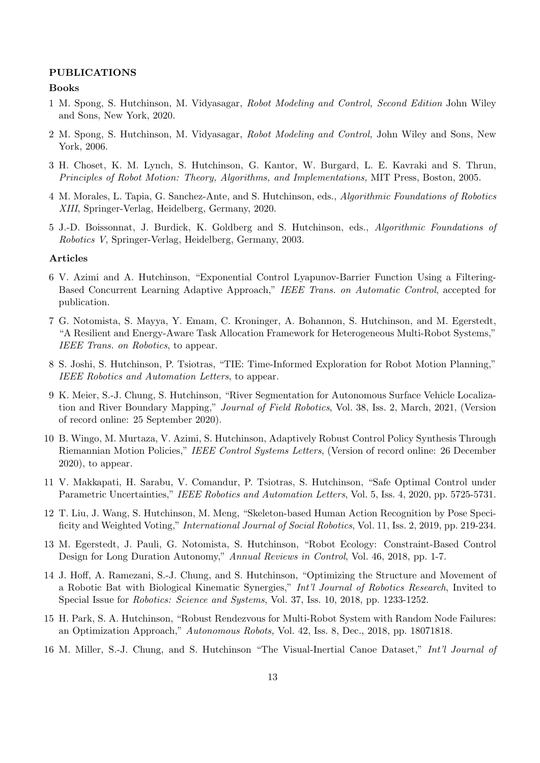#### PUBLICATIONS

#### Books

- 1 M. Spong, S. Hutchinson, M. Vidyasagar, Robot Modeling and Control, Second Edition John Wiley and Sons, New York, 2020.
- 2 M. Spong, S. Hutchinson, M. Vidyasagar, Robot Modeling and Control, John Wiley and Sons, New York, 2006.
- 3 H. Choset, K. M. Lynch, S. Hutchinson, G. Kantor, W. Burgard, L. E. Kavraki and S. Thrun, Principles of Robot Motion: Theory, Algorithms, and Implementations, MIT Press, Boston, 2005.
- 4 M. Morales, L. Tapia, G. Sanchez-Ante, and S. Hutchinson, eds., Algorithmic Foundations of Robotics XIII, Springer-Verlag, Heidelberg, Germany, 2020.
- 5 J.-D. Boissonnat, J. Burdick, K. Goldberg and S. Hutchinson, eds., Algorithmic Foundations of Robotics V, Springer-Verlag, Heidelberg, Germany, 2003.

#### Articles

- 6 V. Azimi and A. Hutchinson, "Exponential Control Lyapunov-Barrier Function Using a Filtering-Based Concurrent Learning Adaptive Approach," IEEE Trans. on Automatic Control, accepted for publication.
- 7 G. Notomista, S. Mayya, Y. Emam, C. Kroninger, A. Bohannon, S. Hutchinson, and M. Egerstedt, "A Resilient and Energy-Aware Task Allocation Framework for Heterogeneous Multi-Robot Systems," IEEE Trans. on Robotics, to appear.
- 8 S. Joshi, S. Hutchinson, P. Tsiotras, "TIE: Time-Informed Exploration for Robot Motion Planning," IEEE Robotics and Automation Letters, to appear.
- 9 K. Meier, S.-J. Chung, S. Hutchinson, "River Segmentation for Autonomous Surface Vehicle Localization and River Boundary Mapping," Journal of Field Robotics, Vol. 38, Iss. 2, March, 2021, (Version of record online: 25 September 2020).
- 10 B. Wingo, M. Murtaza, V. Azimi, S. Hutchinson, Adaptively Robust Control Policy Synthesis Through Riemannian Motion Policies," IEEE Control Systems Letters, (Version of record online: 26 December 2020), to appear.
- 11 V. Makkapati, H. Sarabu, V. Comandur, P. Tsiotras, S. Hutchinson, "Safe Optimal Control under Parametric Uncertainties," IEEE Robotics and Automation Letters, Vol. 5, Iss. 4, 2020, pp. 5725-5731.
- 12 T. Liu, J. Wang, S. Hutchinson, M. Meng, "Skeleton-based Human Action Recognition by Pose Specificity and Weighted Voting," International Journal of Social Robotics, Vol. 11, Iss. 2, 2019, pp. 219-234.
- 13 M. Egerstedt, J. Pauli, G. Notomista, S. Hutchinson, "Robot Ecology: Constraint-Based Control Design for Long Duration Autonomy," Annual Reviews in Control, Vol. 46, 2018, pp. 1-7.
- 14 J. Hoff, A. Ramezani, S.-J. Chung, and S. Hutchinson, "Optimizing the Structure and Movement of a Robotic Bat with Biological Kinematic Synergies," *Int'l Journal of Robotics Research*, Invited to Special Issue for Robotics: Science and Systems, Vol. 37, Iss. 10, 2018, pp. 1233-1252.
- 15 H. Park, S. A. Hutchinson, "Robust Rendezvous for Multi-Robot System with Random Node Failures: an Optimization Approach," Autonomous Robots, Vol. 42, Iss. 8, Dec., 2018, pp. 18071818.
- 16 M. Miller, S.-J. Chung, and S. Hutchinson "The Visual-Inertial Canoe Dataset," Int'l Journal of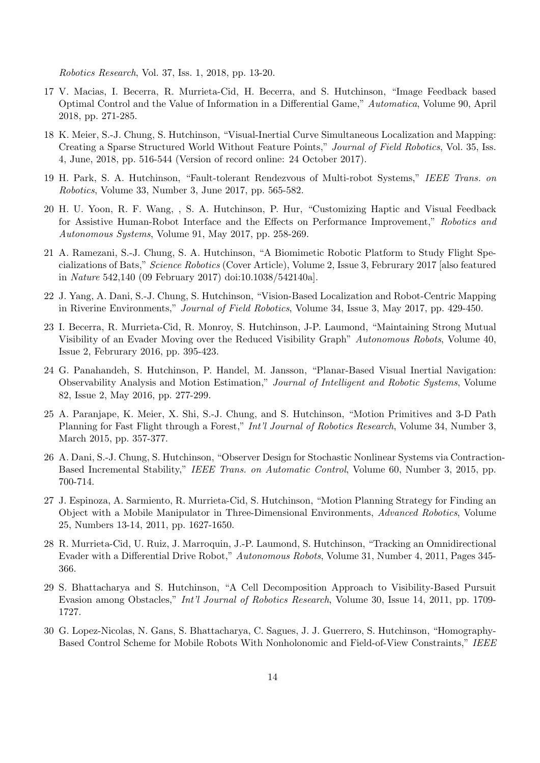Robotics Research, Vol. 37, Iss. 1, 2018, pp. 13-20.

- 17 V. Macias, I. Becerra, R. Murrieta-Cid, H. Becerra, and S. Hutchinson, "Image Feedback based Optimal Control and the Value of Information in a Differential Game," Automatica, Volume 90, April 2018, pp. 271-285.
- 18 K. Meier, S.-J. Chung, S. Hutchinson, "Visual-Inertial Curve Simultaneous Localization and Mapping: Creating a Sparse Structured World Without Feature Points," Journal of Field Robotics, Vol. 35, Iss. 4, June, 2018, pp. 516-544 (Version of record online: 24 October 2017).
- 19 H. Park, S. A. Hutchinson, "Fault-tolerant Rendezvous of Multi-robot Systems," IEEE Trans. on Robotics, Volume 33, Number 3, June 2017, pp. 565-582.
- 20 H. U. Yoon, R. F. Wang, , S. A. Hutchinson, P. Hur, "Customizing Haptic and Visual Feedback for Assistive Human-Robot Interface and the Effects on Performance Improvement," Robotics and Autonomous Systems, Volume 91, May 2017, pp. 258-269.
- 21 A. Ramezani, S.-J. Chung, S. A. Hutchinson, "A Biomimetic Robotic Platform to Study Flight Specializations of Bats," Science Robotics (Cover Article), Volume 2, Issue 3, Februrary 2017 [also featured in Nature 542,140 (09 February 2017) doi:10.1038/542140a].
- 22 J. Yang, A. Dani, S.-J. Chung, S. Hutchinson, "Vision-Based Localization and Robot-Centric Mapping in Riverine Environments," Journal of Field Robotics, Volume 34, Issue 3, May 2017, pp. 429-450.
- 23 I. Becerra, R. Murrieta-Cid, R. Monroy, S. Hutchinson, J-P. Laumond, "Maintaining Strong Mutual Visibility of an Evader Moving over the Reduced Visibility Graph" Autonomous Robots, Volume 40, Issue 2, Februrary 2016, pp. 395-423.
- 24 G. Panahandeh, S. Hutchinson, P. Handel, M. Jansson, "Planar-Based Visual Inertial Navigation: Observability Analysis and Motion Estimation," Journal of Intelligent and Robotic Systems, Volume 82, Issue 2, May 2016, pp. 277-299.
- 25 A. Paranjape, K. Meier, X. Shi, S.-J. Chung, and S. Hutchinson, "Motion Primitives and 3-D Path Planning for Fast Flight through a Forest," Int'l Journal of Robotics Research, Volume 34, Number 3, March 2015, pp. 357-377.
- 26 A. Dani, S.-J. Chung, S. Hutchinson, "Observer Design for Stochastic Nonlinear Systems via Contraction-Based Incremental Stability," IEEE Trans. on Automatic Control, Volume 60, Number 3, 2015, pp. 700-714.
- 27 J. Espinoza, A. Sarmiento, R. Murrieta-Cid, S. Hutchinson, "Motion Planning Strategy for Finding an Object with a Mobile Manipulator in Three-Dimensional Environments, Advanced Robotics, Volume 25, Numbers 13-14, 2011, pp. 1627-1650.
- 28 R. Murrieta-Cid, U. Ruiz, J. Marroquin, J.-P. Laumond, S. Hutchinson, "Tracking an Omnidirectional Evader with a Differential Drive Robot," Autonomous Robots, Volume 31, Number 4, 2011, Pages 345-366.
- 29 S. Bhattacharya and S. Hutchinson, "A Cell Decomposition Approach to Visibility-Based Pursuit Evasion among Obstacles," Int'l Journal of Robotics Research, Volume 30, Issue 14, 2011, pp. 1709- 1727.
- 30 G. Lopez-Nicolas, N. Gans, S. Bhattacharya, C. Sagues, J. J. Guerrero, S. Hutchinson, "Homography-Based Control Scheme for Mobile Robots With Nonholonomic and Field-of-View Constraints," IEEE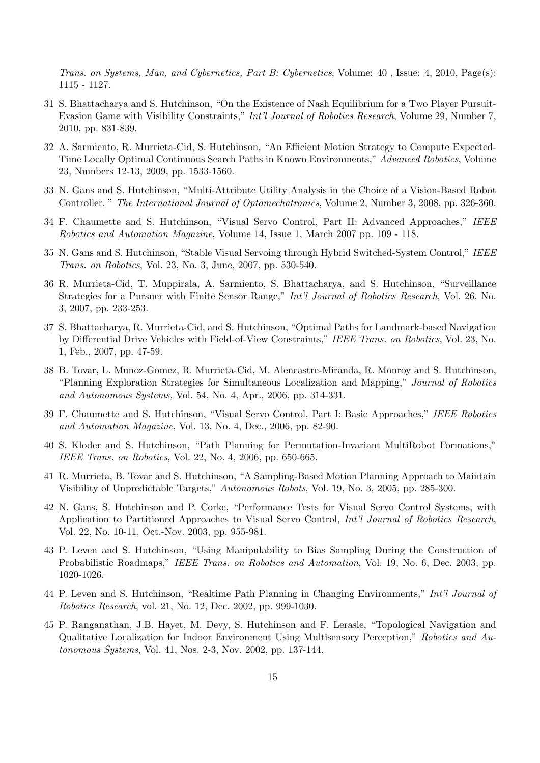Trans. on Systems, Man, and Cybernetics, Part B: Cybernetics, Volume: 40 , Issue: 4, 2010, Page(s): 1115 - 1127.

- 31 S. Bhattacharya and S. Hutchinson, "On the Existence of Nash Equilibrium for a Two Player Pursuit-Evasion Game with Visibility Constraints," Int'l Journal of Robotics Research, Volume 29, Number 7, 2010, pp. 831-839.
- 32 A. Sarmiento, R. Murrieta-Cid, S. Hutchinson, "An Efficient Motion Strategy to Compute Expected-Time Locally Optimal Continuous Search Paths in Known Environments," Advanced Robotics, Volume 23, Numbers 12-13, 2009, pp. 1533-1560.
- 33 N. Gans and S. Hutchinson, "Multi-Attribute Utility Analysis in the Choice of a Vision-Based Robot Controller, " The International Journal of Optomechatronics, Volume 2, Number 3, 2008, pp. 326-360.
- 34 F. Chaumette and S. Hutchinson, "Visual Servo Control, Part II: Advanced Approaches," IEEE Robotics and Automation Magazine, Volume 14, Issue 1, March 2007 pp. 109 - 118.
- 35 N. Gans and S. Hutchinson, "Stable Visual Servoing through Hybrid Switched-System Control," IEEE Trans. on Robotics, Vol. 23, No. 3, June, 2007, pp. 530-540.
- 36 R. Murrieta-Cid, T. Muppirala, A. Sarmiento, S. Bhattacharya, and S. Hutchinson, "Surveillance Strategies for a Pursuer with Finite Sensor Range," Int'l Journal of Robotics Research, Vol. 26, No. 3, 2007, pp. 233-253.
- 37 S. Bhattacharya, R. Murrieta-Cid, and S. Hutchinson, "Optimal Paths for Landmark-based Navigation by Differential Drive Vehicles with Field-of-View Constraints," IEEE Trans. on Robotics, Vol. 23, No. 1, Feb., 2007, pp. 47-59.
- 38 B. Tovar, L. Munoz-Gomez, R. Murrieta-Cid, M. Alencastre-Miranda, R. Monroy and S. Hutchinson, "Planning Exploration Strategies for Simultaneous Localization and Mapping," Journal of Robotics and Autonomous Systems, Vol. 54, No. 4, Apr., 2006, pp. 314-331.
- 39 F. Chaumette and S. Hutchinson, "Visual Servo Control, Part I: Basic Approaches," IEEE Robotics and Automation Magazine, Vol. 13, No. 4, Dec., 2006, pp. 82-90.
- 40 S. Kloder and S. Hutchinson, "Path Planning for Permutation-Invariant MultiRobot Formations," IEEE Trans. on Robotics, Vol. 22, No. 4, 2006, pp. 650-665.
- 41 R. Murrieta, B. Tovar and S. Hutchinson, "A Sampling-Based Motion Planning Approach to Maintain Visibility of Unpredictable Targets," Autonomous Robots, Vol. 19, No. 3, 2005, pp. 285-300.
- 42 N. Gans, S. Hutchinson and P. Corke, "Performance Tests for Visual Servo Control Systems, with Application to Partitioned Approaches to Visual Servo Control, Int'l Journal of Robotics Research, Vol. 22, No. 10-11, Oct.-Nov. 2003, pp. 955-981.
- 43 P. Leven and S. Hutchinson, "Using Manipulability to Bias Sampling During the Construction of Probabilistic Roadmaps," IEEE Trans. on Robotics and Automation, Vol. 19, No. 6, Dec. 2003, pp. 1020-1026.
- 44 P. Leven and S. Hutchinson, "Realtime Path Planning in Changing Environments," Int'l Journal of Robotics Research, vol. 21, No. 12, Dec. 2002, pp. 999-1030.
- 45 P. Ranganathan, J.B. Hayet, M. Devy, S. Hutchinson and F. Lerasle, "Topological Navigation and Qualitative Localization for Indoor Environment Using Multisensory Perception," Robotics and Autonomous Systems, Vol. 41, Nos. 2-3, Nov. 2002, pp. 137-144.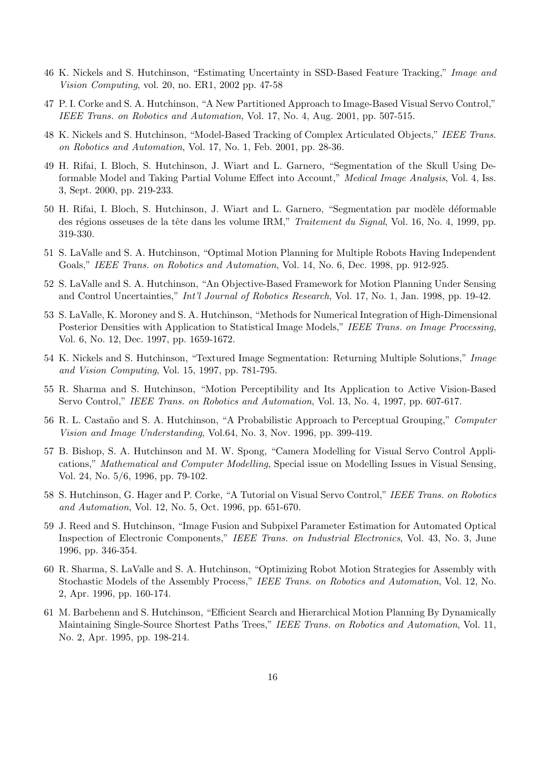- 46 K. Nickels and S. Hutchinson, "Estimating Uncertainty in SSD-Based Feature Tracking," Image and Vision Computing, vol. 20, no. ER1, 2002 pp. 47-58
- 47 P. I. Corke and S. A. Hutchinson, "A New Partitioned Approach to Image-Based Visual Servo Control," IEEE Trans. on Robotics and Automation, Vol. 17, No. 4, Aug. 2001, pp. 507-515.
- 48 K. Nickels and S. Hutchinson, "Model-Based Tracking of Complex Articulated Objects," IEEE Trans. on Robotics and Automation, Vol. 17, No. 1, Feb. 2001, pp. 28-36.
- 49 H. Rifai, I. Bloch, S. Hutchinson, J. Wiart and L. Garnero, "Segmentation of the Skull Using Deformable Model and Taking Partial Volume Effect into Account," Medical Image Analysis, Vol. 4, Iss. 3, Sept. 2000, pp. 219-233.
- 50 H. Rifai, I. Bloch, S. Hutchinson, J. Wiart and L. Garnero, "Segmentation par modèle déformable des régions osseuses de la tête dans les volume IRM," Traitement du Signal, Vol. 16, No. 4, 1999, pp. 319-330.
- 51 S. LaValle and S. A. Hutchinson, "Optimal Motion Planning for Multiple Robots Having Independent Goals," IEEE Trans. on Robotics and Automation, Vol. 14, No. 6, Dec. 1998, pp. 912-925.
- 52 S. LaValle and S. A. Hutchinson, "An Objective-Based Framework for Motion Planning Under Sensing and Control Uncertainties," *Int'l Journal of Robotics Research*, Vol. 17, No. 1, Jan. 1998, pp. 19-42.
- 53 S. LaValle, K. Moroney and S. A. Hutchinson, "Methods for Numerical Integration of High-Dimensional Posterior Densities with Application to Statistical Image Models," IEEE Trans. on Image Processing, Vol. 6, No. 12, Dec. 1997, pp. 1659-1672.
- 54 K. Nickels and S. Hutchinson, "Textured Image Segmentation: Returning Multiple Solutions," Image and Vision Computing, Vol. 15, 1997, pp. 781-795.
- 55 R. Sharma and S. Hutchinson, "Motion Perceptibility and Its Application to Active Vision-Based Servo Control," IEEE Trans. on Robotics and Automation, Vol. 13, No. 4, 1997, pp. 607-617.
- 56 R. L. Castaño and S. A. Hutchinson, "A Probabilistic Approach to Perceptual Grouping," Computer Vision and Image Understanding, Vol.64, No. 3, Nov. 1996, pp. 399-419.
- 57 B. Bishop, S. A. Hutchinson and M. W. Spong, "Camera Modelling for Visual Servo Control Applications," Mathematical and Computer Modelling, Special issue on Modelling Issues in Visual Sensing, Vol. 24, No. 5/6, 1996, pp. 79-102.
- 58 S. Hutchinson, G. Hager and P. Corke, "A Tutorial on Visual Servo Control," IEEE Trans. on Robotics and Automation, Vol. 12, No. 5, Oct. 1996, pp. 651-670.
- 59 J. Reed and S. Hutchinson, "Image Fusion and Subpixel Parameter Estimation for Automated Optical Inspection of Electronic Components," IEEE Trans. on Industrial Electronics, Vol. 43, No. 3, June 1996, pp. 346-354.
- 60 R. Sharma, S. LaValle and S. A. Hutchinson, "Optimizing Robot Motion Strategies for Assembly with Stochastic Models of the Assembly Process," IEEE Trans. on Robotics and Automation, Vol. 12, No. 2, Apr. 1996, pp. 160-174.
- 61 M. Barbehenn and S. Hutchinson, "Efficient Search and Hierarchical Motion Planning By Dynamically Maintaining Single-Source Shortest Paths Trees," IEEE Trans. on Robotics and Automation, Vol. 11, No. 2, Apr. 1995, pp. 198-214.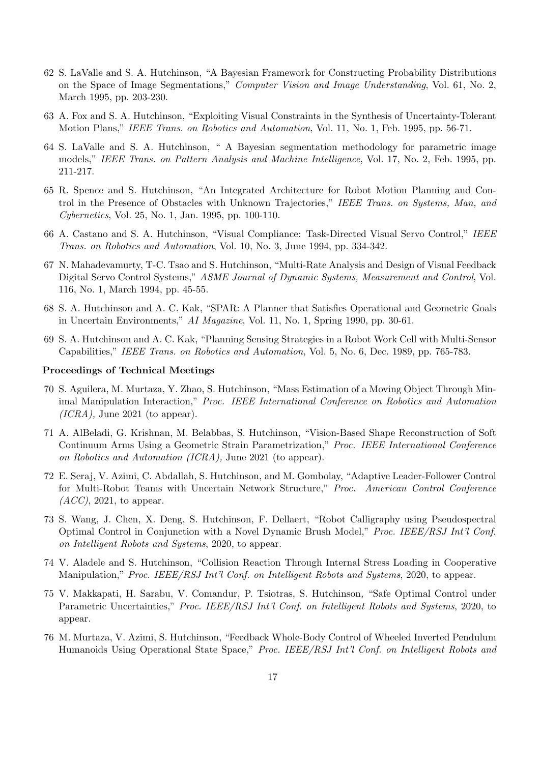- 62 S. LaValle and S. A. Hutchinson, "A Bayesian Framework for Constructing Probability Distributions on the Space of Image Segmentations," Computer Vision and Image Understanding, Vol. 61, No. 2, March 1995, pp. 203-230.
- 63 A. Fox and S. A. Hutchinson, "Exploiting Visual Constraints in the Synthesis of Uncertainty-Tolerant Motion Plans," IEEE Trans. on Robotics and Automation, Vol. 11, No. 1, Feb. 1995, pp. 56-71.
- 64 S. LaValle and S. A. Hutchinson, " A Bayesian segmentation methodology for parametric image models," IEEE Trans. on Pattern Analysis and Machine Intelligence, Vol. 17, No. 2, Feb. 1995, pp. 211-217.
- 65 R. Spence and S. Hutchinson, "An Integrated Architecture for Robot Motion Planning and Control in the Presence of Obstacles with Unknown Trajectories," IEEE Trans. on Systems, Man, and Cybernetics, Vol. 25, No. 1, Jan. 1995, pp. 100-110.
- 66 A. Castano and S. A. Hutchinson, "Visual Compliance: Task-Directed Visual Servo Control," IEEE Trans. on Robotics and Automation, Vol. 10, No. 3, June 1994, pp. 334-342.
- 67 N. Mahadevamurty, T-C. Tsao and S. Hutchinson, "Multi-Rate Analysis and Design of Visual Feedback Digital Servo Control Systems," ASME Journal of Dynamic Systems, Measurement and Control, Vol. 116, No. 1, March 1994, pp. 45-55.
- 68 S. A. Hutchinson and A. C. Kak, "SPAR: A Planner that Satisfies Operational and Geometric Goals in Uncertain Environments," AI Magazine, Vol. 11, No. 1, Spring 1990, pp. 30-61.
- 69 S. A. Hutchinson and A. C. Kak, "Planning Sensing Strategies in a Robot Work Cell with Multi-Sensor Capabilities," IEEE Trans. on Robotics and Automation, Vol. 5, No. 6, Dec. 1989, pp. 765-783.

#### Proceedings of Technical Meetings

- 70 S. Aguilera, M. Murtaza, Y. Zhao, S. Hutchinson, "Mass Estimation of a Moving Object Through Minimal Manipulation Interaction," Proc. IEEE International Conference on Robotics and Automation  $(ICRA)$ , June 2021 (to appear).
- 71 A. AlBeladi, G. Krishnan, M. Belabbas, S. Hutchinson, "Vision-Based Shape Reconstruction of Soft Continuum Arms Using a Geometric Strain Parametrization," Proc. IEEE International Conference on Robotics and Automation (ICRA), June 2021 (to appear).
- 72 E. Seraj, V. Azimi, C. Abdallah, S. Hutchinson, and M. Gombolay, "Adaptive Leader-Follower Control for Multi-Robot Teams with Uncertain Network Structure," Proc. American Control Conference  $(ACC), 2021$ , to appear.
- 73 S. Wang, J. Chen, X. Deng, S. Hutchinson, F. Dellaert, "Robot Calligraphy using Pseudospectral Optimal Control in Conjunction with a Novel Dynamic Brush Model," Proc. IEEE/RSJ Int'l Conf. on Intelligent Robots and Systems, 2020, to appear.
- 74 V. Aladele and S. Hutchinson, "Collision Reaction Through Internal Stress Loading in Cooperative Manipulation," Proc. IEEE/RSJ Int'l Conf. on Intelligent Robots and Systems, 2020, to appear.
- 75 V. Makkapati, H. Sarabu, V. Comandur, P. Tsiotras, S. Hutchinson, "Safe Optimal Control under Parametric Uncertainties," Proc. IEEE/RSJ Int'l Conf. on Intelligent Robots and Systems, 2020, to appear.
- 76 M. Murtaza, V. Azimi, S. Hutchinson, "Feedback Whole-Body Control of Wheeled Inverted Pendulum Humanoids Using Operational State Space," Proc. IEEE/RSJ Int'l Conf. on Intelligent Robots and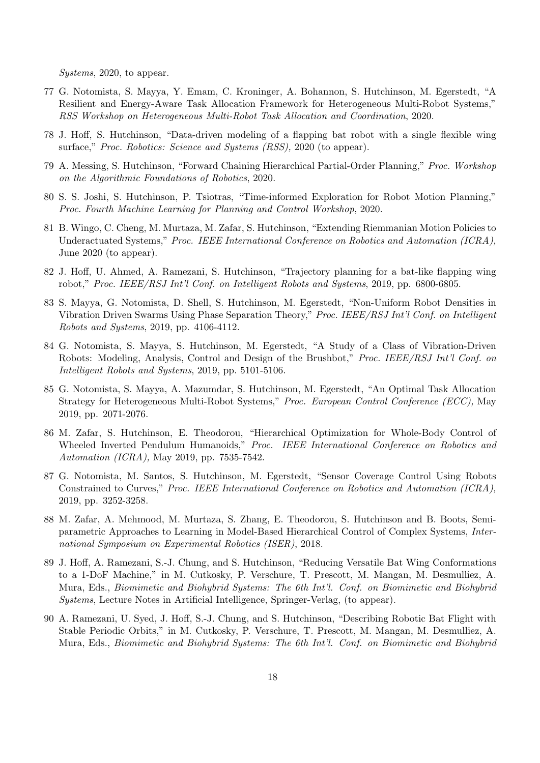Systems, 2020, to appear.

- 77 G. Notomista, S. Mayya, Y. Emam, C. Kroninger, A. Bohannon, S. Hutchinson, M. Egerstedt, "A Resilient and Energy-Aware Task Allocation Framework for Heterogeneous Multi-Robot Systems," RSS Workshop on Heterogeneous Multi-Robot Task Allocation and Coordination, 2020.
- 78 J. Hoff, S. Hutchinson, "Data-driven modeling of a flapping bat robot with a single flexible wing surface," Proc. Robotics: Science and Systems (RSS), 2020 (to appear).
- 79 A. Messing, S. Hutchinson, "Forward Chaining Hierarchical Partial-Order Planning," Proc. Workshop on the Algorithmic Foundations of Robotics, 2020.
- 80 S. S. Joshi, S. Hutchinson, P. Tsiotras, "Time-informed Exploration for Robot Motion Planning," Proc. Fourth Machine Learning for Planning and Control Workshop, 2020.
- 81 B. Wingo, C. Cheng, M. Murtaza, M. Zafar, S. Hutchinson, "Extending Riemmanian Motion Policies to Underactuated Systems," Proc. IEEE International Conference on Robotics and Automation (ICRA), June 2020 (to appear).
- 82 J. Hoff, U. Ahmed, A. Ramezani, S. Hutchinson, "Trajectory planning for a bat-like flapping wing robot," Proc. IEEE/RSJ Int'l Conf. on Intelligent Robots and Systems, 2019, pp. 6800-6805.
- 83 S. Mayya, G. Notomista, D. Shell, S. Hutchinson, M. Egerstedt, "Non-Uniform Robot Densities in Vibration Driven Swarms Using Phase Separation Theory," Proc. IEEE/RSJ Int'l Conf. on Intelligent Robots and Systems, 2019, pp. 4106-4112.
- 84 G. Notomista, S. Mayya, S. Hutchinson, M. Egerstedt, "A Study of a Class of Vibration-Driven Robots: Modeling, Analysis, Control and Design of the Brushbot," Proc. IEEE/RSJ Int'l Conf. on Intelligent Robots and Systems, 2019, pp. 5101-5106.
- 85 G. Notomista, S. Mayya, A. Mazumdar, S. Hutchinson, M. Egerstedt, "An Optimal Task Allocation Strategy for Heterogeneous Multi-Robot Systems," Proc. European Control Conference (ECC), May 2019, pp. 2071-2076.
- 86 M. Zafar, S. Hutchinson, E. Theodorou, "Hierarchical Optimization for Whole-Body Control of Wheeled Inverted Pendulum Humanoids," Proc. IEEE International Conference on Robotics and Automation (ICRA), May 2019, pp. 7535-7542.
- 87 G. Notomista, M. Santos, S. Hutchinson, M. Egerstedt, "Sensor Coverage Control Using Robots Constrained to Curves," Proc. IEEE International Conference on Robotics and Automation (ICRA), 2019, pp. 3252-3258.
- 88 M. Zafar, A. Mehmood, M. Murtaza, S. Zhang, E. Theodorou, S. Hutchinson and B. Boots, Semiparametric Approaches to Learning in Model-Based Hierarchical Control of Complex Systems, International Symposium on Experimental Robotics (ISER), 2018.
- 89 J. Hoff, A. Ramezani, S.-J. Chung, and S. Hutchinson, "Reducing Versatile Bat Wing Conformations to a 1-DoF Machine," in M. Cutkosky, P. Verschure, T. Prescott, M. Mangan, M. Desmulliez, A. Mura, Eds., Biomimetic and Biohybrid Systems: The 6th Int'l. Conf. on Biomimetic and Biohybrid Systems, Lecture Notes in Artificial Intelligence, Springer-Verlag, (to appear).
- 90 A. Ramezani, U. Syed, J. Hoff, S.-J. Chung, and S. Hutchinson, "Describing Robotic Bat Flight with Stable Periodic Orbits," in M. Cutkosky, P. Verschure, T. Prescott, M. Mangan, M. Desmulliez, A. Mura, Eds., Biomimetic and Biohybrid Systems: The 6th Int'l. Conf. on Biomimetic and Biohybrid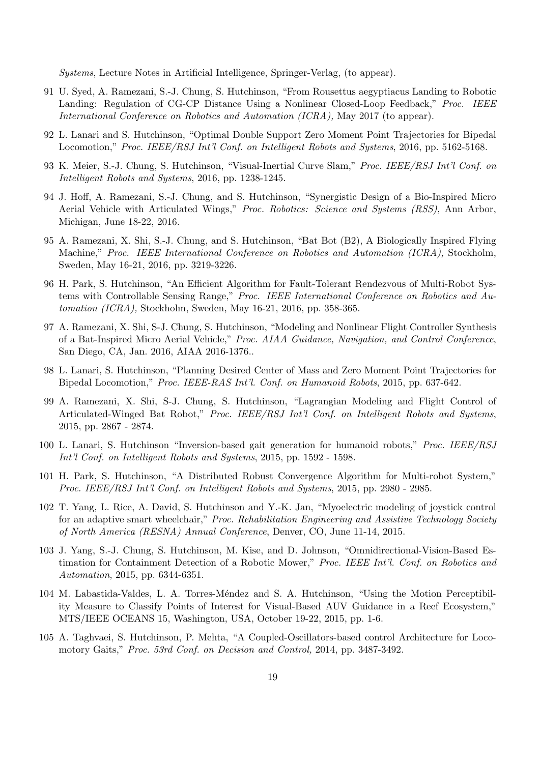Systems, Lecture Notes in Artificial Intelligence, Springer-Verlag, (to appear).

- 91 U. Syed, A. Ramezani, S.-J. Chung, S. Hutchinson, "From Rousettus aegyptiacus Landing to Robotic Landing: Regulation of CG-CP Distance Using a Nonlinear Closed-Loop Feedback," Proc. IEEE International Conference on Robotics and Automation (ICRA), May 2017 (to appear).
- 92 L. Lanari and S. Hutchinson, "Optimal Double Support Zero Moment Point Trajectories for Bipedal Locomotion," Proc. IEEE/RSJ Int'l Conf. on Intelligent Robots and Systems, 2016, pp. 5162-5168.
- 93 K. Meier, S.-J. Chung, S. Hutchinson, "Visual-Inertial Curve Slam," Proc. IEEE/RSJ Int'l Conf. on Intelligent Robots and Systems, 2016, pp. 1238-1245.
- 94 J. Hoff, A. Ramezani, S.-J. Chung, and S. Hutchinson, "Synergistic Design of a Bio-Inspired Micro Aerial Vehicle with Articulated Wings," Proc. Robotics: Science and Systems (RSS), Ann Arbor, Michigan, June 18-22, 2016.
- 95 A. Ramezani, X. Shi, S.-J. Chung, and S. Hutchinson, "Bat Bot (B2), A Biologically Inspired Flying Machine," Proc. IEEE International Conference on Robotics and Automation (ICRA), Stockholm, Sweden, May 16-21, 2016, pp. 3219-3226.
- 96 H. Park, S. Hutchinson, "An Efficient Algorithm for Fault-Tolerant Rendezvous of Multi-Robot Systems with Controllable Sensing Range," Proc. IEEE International Conference on Robotics and Automation (ICRA), Stockholm, Sweden, May 16-21, 2016, pp. 358-365.
- 97 A. Ramezani, X. Shi, S-J. Chung, S. Hutchinson, "Modeling and Nonlinear Flight Controller Synthesis of a Bat-Inspired Micro Aerial Vehicle," Proc. AIAA Guidance, Navigation, and Control Conference, San Diego, CA, Jan. 2016, AIAA 2016-1376..
- 98 L. Lanari, S. Hutchinson, "Planning Desired Center of Mass and Zero Moment Point Trajectories for Bipedal Locomotion," Proc. IEEE-RAS Int'l. Conf. on Humanoid Robots, 2015, pp. 637-642.
- 99 A. Ramezani, X. Shi, S-J. Chung, S. Hutchinson, "Lagrangian Modeling and Flight Control of Articulated-Winged Bat Robot," Proc. IEEE/RSJ Int'l Conf. on Intelligent Robots and Systems, 2015, pp. 2867 - 2874.
- 100 L. Lanari, S. Hutchinson "Inversion-based gait generation for humanoid robots," Proc. IEEE/RSJ Int'l Conf. on Intelligent Robots and Systems, 2015, pp. 1592 - 1598.
- 101 H. Park, S. Hutchinson, "A Distributed Robust Convergence Algorithm for Multi-robot System," Proc. IEEE/RSJ Int'l Conf. on Intelligent Robots and Systems, 2015, pp. 2980 - 2985.
- 102 T. Yang, L. Rice, A. David, S. Hutchinson and Y.-K. Jan, "Myoelectric modeling of joystick control for an adaptive smart wheelchair," Proc. Rehabilitation Engineering and Assistive Technology Society of North America (RESNA) Annual Conference, Denver, CO, June 11-14, 2015.
- 103 J. Yang, S.-J. Chung, S. Hutchinson, M. Kise, and D. Johnson, "Omnidirectional-Vision-Based Estimation for Containment Detection of a Robotic Mower," Proc. IEEE Int'l. Conf. on Robotics and Automation, 2015, pp. 6344-6351.
- 104 M. Labastida-Valdes, L. A. Torres-M´endez and S. A. Hutchinson, "Using the Motion Perceptibility Measure to Classify Points of Interest for Visual-Based AUV Guidance in a Reef Ecosystem," MTS/IEEE OCEANS 15, Washington, USA, October 19-22, 2015, pp. 1-6.
- 105 A. Taghvaei, S. Hutchinson, P. Mehta, "A Coupled-Oscillators-based control Architecture for Locomotory Gaits," Proc. 53rd Conf. on Decision and Control, 2014, pp. 3487-3492.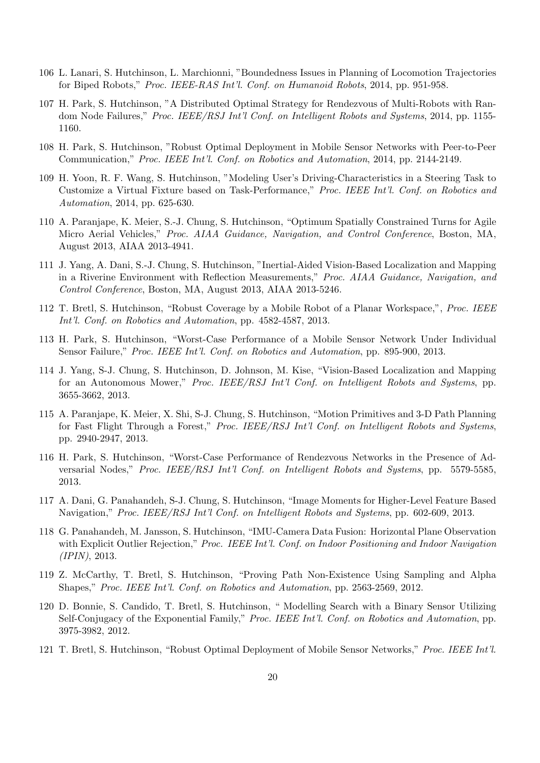- 106 L. Lanari, S. Hutchinson, L. Marchionni, "Boundedness Issues in Planning of Locomotion Trajectories for Biped Robots," Proc. IEEE-RAS Int'l. Conf. on Humanoid Robots, 2014, pp. 951-958.
- 107 H. Park, S. Hutchinson, "A Distributed Optimal Strategy for Rendezvous of Multi-Robots with Random Node Failures," *Proc. IEEE/RSJ Int'l Conf. on Intelligent Robots and Systems*, 2014, pp. 1155-1160.
- 108 H. Park, S. Hutchinson, "Robust Optimal Deployment in Mobile Sensor Networks with Peer-to-Peer Communication," Proc. IEEE Int'l. Conf. on Robotics and Automation, 2014, pp. 2144-2149.
- 109 H. Yoon, R. F. Wang, S. Hutchinson, "Modeling User's Driving-Characteristics in a Steering Task to Customize a Virtual Fixture based on Task-Performance," Proc. IEEE Int'l. Conf. on Robotics and Automation, 2014, pp. 625-630.
- 110 A. Paranjape, K. Meier, S.-J. Chung, S. Hutchinson, "Optimum Spatially Constrained Turns for Agile Micro Aerial Vehicles," Proc. AIAA Guidance, Navigation, and Control Conference, Boston, MA, August 2013, AIAA 2013-4941.
- 111 J. Yang, A. Dani, S.-J. Chung, S. Hutchinson, "Inertial-Aided Vision-Based Localization and Mapping in a Riverine Environment with Reflection Measurements," Proc. AIAA Guidance, Navigation, and Control Conference, Boston, MA, August 2013, AIAA 2013-5246.
- 112 T. Bretl, S. Hutchinson, "Robust Coverage by a Mobile Robot of a Planar Workspace,", Proc. IEEE Int'l. Conf. on Robotics and Automation, pp. 4582-4587, 2013.
- 113 H. Park, S. Hutchinson, "Worst-Case Performance of a Mobile Sensor Network Under Individual Sensor Failure," Proc. IEEE Int'l. Conf. on Robotics and Automation, pp. 895-900, 2013.
- 114 J. Yang, S-J. Chung, S. Hutchinson, D. Johnson, M. Kise, "Vision-Based Localization and Mapping for an Autonomous Mower," Proc. IEEE/RSJ Int'l Conf. on Intelligent Robots and Systems, pp. 3655-3662, 2013.
- 115 A. Paranjape, K. Meier, X. Shi, S-J. Chung, S. Hutchinson, "Motion Primitives and 3-D Path Planning for Fast Flight Through a Forest," Proc. IEEE/RSJ Int'l Conf. on Intelligent Robots and Systems, pp. 2940-2947, 2013.
- 116 H. Park, S. Hutchinson, "Worst-Case Performance of Rendezvous Networks in the Presence of Adversarial Nodes," Proc. IEEE/RSJ Int'l Conf. on Intelligent Robots and Systems, pp. 5579-5585, 2013.
- 117 A. Dani, G. Panahandeh, S-J. Chung, S. Hutchinson, "Image Moments for Higher-Level Feature Based Navigation," Proc. IEEE/RSJ Int'l Conf. on Intelligent Robots and Systems, pp. 602-609, 2013.
- 118 G. Panahandeh, M. Jansson, S. Hutchinson, "IMU-Camera Data Fusion: Horizontal Plane Observation with Explicit Outlier Rejection," Proc. IEEE Int'l. Conf. on Indoor Positioning and Indoor Navigation (IPIN), 2013.
- 119 Z. McCarthy, T. Bretl, S. Hutchinson, "Proving Path Non-Existence Using Sampling and Alpha Shapes," Proc. IEEE Int'l. Conf. on Robotics and Automation, pp. 2563-2569, 2012.
- 120 D. Bonnie, S. Candido, T. Bretl, S. Hutchinson, " Modelling Search with a Binary Sensor Utilizing Self-Conjugacy of the Exponential Family," Proc. IEEE Int'l. Conf. on Robotics and Automation, pp. 3975-3982, 2012.
- 121 T. Bretl, S. Hutchinson, "Robust Optimal Deployment of Mobile Sensor Networks," Proc. IEEE Int'l.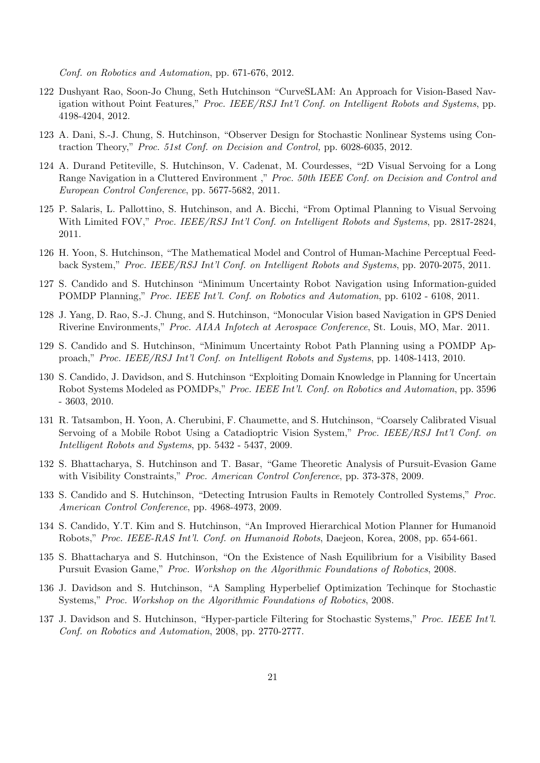Conf. on Robotics and Automation, pp. 671-676, 2012.

- 122 Dushyant Rao, Soon-Jo Chung, Seth Hutchinson "CurveSLAM: An Approach for Vision-Based Navigation without Point Features," Proc. IEEE/RSJ Int'l Conf. on Intelligent Robots and Systems, pp. 4198-4204, 2012.
- 123 A. Dani, S.-J. Chung, S. Hutchinson, "Observer Design for Stochastic Nonlinear Systems using Contraction Theory," Proc. 51st Conf. on Decision and Control, pp. 6028-6035, 2012.
- 124 A. Durand Petiteville, S. Hutchinson, V. Cadenat, M. Courdesses, "2D Visual Servoing for a Long Range Navigation in a Cluttered Environment," Proc. 50th IEEE Conf. on Decision and Control and European Control Conference, pp. 5677-5682, 2011.
- 125 P. Salaris, L. Pallottino, S. Hutchinson, and A. Bicchi, "From Optimal Planning to Visual Servoing With Limited FOV," Proc. IEEE/RSJ Int'l Conf. on Intelligent Robots and Systems, pp. 2817-2824, 2011.
- 126 H. Yoon, S. Hutchinson, "The Mathematical Model and Control of Human-Machine Perceptual Feedback System," Proc. IEEE/RSJ Int'l Conf. on Intelligent Robots and Systems, pp. 2070-2075, 2011.
- 127 S. Candido and S. Hutchinson "Minimum Uncertainty Robot Navigation using Information-guided POMDP Planning," Proc. IEEE Int'l. Conf. on Robotics and Automation, pp. 6102 - 6108, 2011.
- 128 J. Yang, D. Rao, S.-J. Chung, and S. Hutchinson, "Monocular Vision based Navigation in GPS Denied Riverine Environments," Proc. AIAA Infotech at Aerospace Conference, St. Louis, MO, Mar. 2011.
- 129 S. Candido and S. Hutchinson, "Minimum Uncertainty Robot Path Planning using a POMDP Approach," Proc. IEEE/RSJ Int'l Conf. on Intelligent Robots and Systems, pp. 1408-1413, 2010.
- 130 S. Candido, J. Davidson, and S. Hutchinson "Exploiting Domain Knowledge in Planning for Uncertain Robot Systems Modeled as POMDPs," Proc. IEEE Int'l. Conf. on Robotics and Automation, pp. 3596 - 3603, 2010.
- 131 R. Tatsambon, H. Yoon, A. Cherubini, F. Chaumette, and S. Hutchinson, "Coarsely Calibrated Visual Servoing of a Mobile Robot Using a Catadioptric Vision System," Proc. IEEE/RSJ Int'l Conf. on Intelligent Robots and Systems, pp. 5432 - 5437, 2009.
- 132 S. Bhattacharya, S. Hutchinson and T. Basar, "Game Theoretic Analysis of Pursuit-Evasion Game with Visibility Constraints," Proc. American Control Conference, pp. 373-378, 2009.
- 133 S. Candido and S. Hutchinson, "Detecting Intrusion Faults in Remotely Controlled Systems," Proc. American Control Conference, pp. 4968-4973, 2009.
- 134 S. Candido, Y.T. Kim and S. Hutchinson, "An Improved Hierarchical Motion Planner for Humanoid Robots," Proc. IEEE-RAS Int'l. Conf. on Humanoid Robots, Daejeon, Korea, 2008, pp. 654-661.
- 135 S. Bhattacharya and S. Hutchinson, "On the Existence of Nash Equilibrium for a Visibility Based Pursuit Evasion Game," Proc. Workshop on the Algorithmic Foundations of Robotics, 2008.
- 136 J. Davidson and S. Hutchinson, "A Sampling Hyperbelief Optimization Techinque for Stochastic Systems," Proc. Workshop on the Algorithmic Foundations of Robotics, 2008.
- 137 J. Davidson and S. Hutchinson, "Hyper-particle Filtering for Stochastic Systems," Proc. IEEE Int'l. Conf. on Robotics and Automation, 2008, pp. 2770-2777.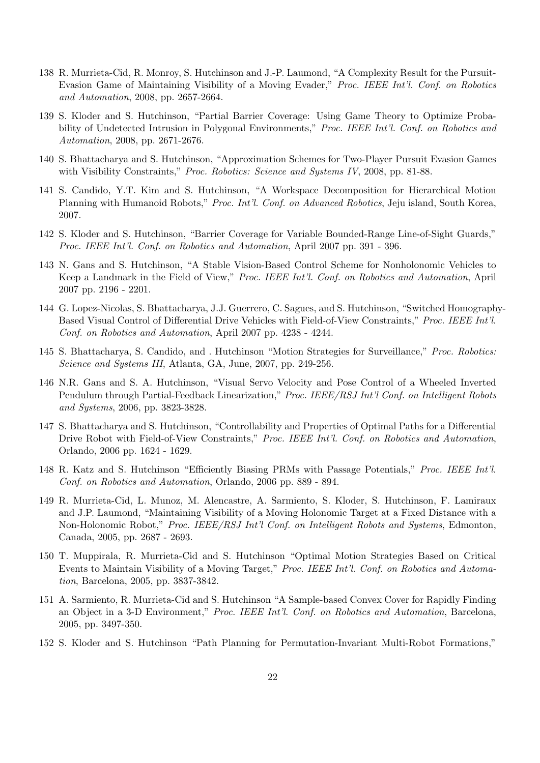- 138 R. Murrieta-Cid, R. Monroy, S. Hutchinson and J.-P. Laumond, "A Complexity Result for the Pursuit-Evasion Game of Maintaining Visibility of a Moving Evader," Proc. IEEE Int'l. Conf. on Robotics and Automation, 2008, pp. 2657-2664.
- 139 S. Kloder and S. Hutchinson, "Partial Barrier Coverage: Using Game Theory to Optimize Probability of Undetected Intrusion in Polygonal Environments," Proc. IEEE Int'l. Conf. on Robotics and Automation, 2008, pp. 2671-2676.
- 140 S. Bhattacharya and S. Hutchinson, "Approximation Schemes for Two-Player Pursuit Evasion Games with Visibility Constraints," Proc. Robotics: Science and Systems IV, 2008, pp. 81-88.
- 141 S. Candido, Y.T. Kim and S. Hutchinson, "A Workspace Decomposition for Hierarchical Motion Planning with Humanoid Robots," Proc. Int'l. Conf. on Advanced Robotics, Jeju island, South Korea, 2007.
- 142 S. Kloder and S. Hutchinson, "Barrier Coverage for Variable Bounded-Range Line-of-Sight Guards," Proc. IEEE Int'l. Conf. on Robotics and Automation, April 2007 pp. 391 - 396.
- 143 N. Gans and S. Hutchinson, "A Stable Vision-Based Control Scheme for Nonholonomic Vehicles to Keep a Landmark in the Field of View," Proc. IEEE Int'l. Conf. on Robotics and Automation, April 2007 pp. 2196 - 2201.
- 144 G. Lopez-Nicolas, S. Bhattacharya, J.J. Guerrero, C. Sagues, and S. Hutchinson, "Switched Homography-Based Visual Control of Differential Drive Vehicles with Field-of-View Constraints," Proc. IEEE Int'l. Conf. on Robotics and Automation, April 2007 pp. 4238 - 4244.
- 145 S. Bhattacharya, S. Candido, and . Hutchinson "Motion Strategies for Surveillance," Proc. Robotics: Science and Systems III, Atlanta, GA, June, 2007, pp. 249-256.
- 146 N.R. Gans and S. A. Hutchinson, "Visual Servo Velocity and Pose Control of a Wheeled Inverted Pendulum through Partial-Feedback Linearization," Proc. IEEE/RSJ Int'l Conf. on Intelligent Robots and Systems, 2006, pp. 3823-3828.
- 147 S. Bhattacharya and S. Hutchinson, "Controllability and Properties of Optimal Paths for a Differential Drive Robot with Field-of-View Constraints," Proc. IEEE Int'l. Conf. on Robotics and Automation, Orlando, 2006 pp. 1624 - 1629.
- 148 R. Katz and S. Hutchinson "Efficiently Biasing PRMs with Passage Potentials," Proc. IEEE Int'l. Conf. on Robotics and Automation, Orlando, 2006 pp. 889 - 894.
- 149 R. Murrieta-Cid, L. Munoz, M. Alencastre, A. Sarmiento, S. Kloder, S. Hutchinson, F. Lamiraux and J.P. Laumond, "Maintaining Visibility of a Moving Holonomic Target at a Fixed Distance with a Non-Holonomic Robot," Proc. IEEE/RSJ Int'l Conf. on Intelligent Robots and Systems, Edmonton, Canada, 2005, pp. 2687 - 2693.
- 150 T. Muppirala, R. Murrieta-Cid and S. Hutchinson "Optimal Motion Strategies Based on Critical Events to Maintain Visibility of a Moving Target," Proc. IEEE Int'l. Conf. on Robotics and Automation, Barcelona, 2005, pp. 3837-3842.
- 151 A. Sarmiento, R. Murrieta-Cid and S. Hutchinson "A Sample-based Convex Cover for Rapidly Finding an Object in a 3-D Environment," Proc. IEEE Int'l. Conf. on Robotics and Automation, Barcelona, 2005, pp. 3497-350.
- 152 S. Kloder and S. Hutchinson "Path Planning for Permutation-Invariant Multi-Robot Formations,"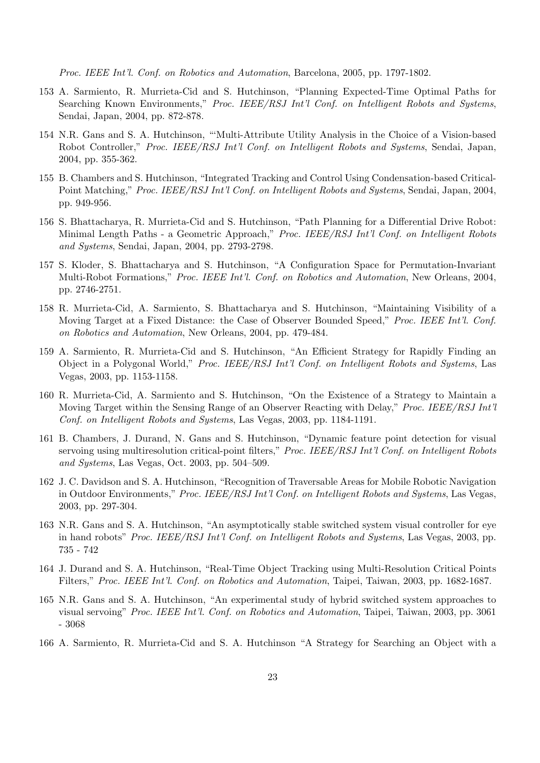Proc. IEEE Int'l. Conf. on Robotics and Automation, Barcelona, 2005, pp. 1797-1802.

- 153 A. Sarmiento, R. Murrieta-Cid and S. Hutchinson, "Planning Expected-Time Optimal Paths for Searching Known Environments," Proc. IEEE/RSJ Int'l Conf. on Intelligent Robots and Systems, Sendai, Japan, 2004, pp. 872-878.
- 154 N.R. Gans and S. A. Hutchinson, "'Multi-Attribute Utility Analysis in the Choice of a Vision-based Robot Controller," Proc. IEEE/RSJ Int'l Conf. on Intelligent Robots and Systems, Sendai, Japan, 2004, pp. 355-362.
- 155 B. Chambers and S. Hutchinson, "Integrated Tracking and Control Using Condensation-based Critical-Point Matching," Proc. IEEE/RSJ Int'l Conf. on Intelligent Robots and Systems, Sendai, Japan, 2004, pp. 949-956.
- 156 S. Bhattacharya, R. Murrieta-Cid and S. Hutchinson, "Path Planning for a Differential Drive Robot: Minimal Length Paths - a Geometric Approach," Proc. IEEE/RSJ Int'l Conf. on Intelligent Robots and Systems, Sendai, Japan, 2004, pp. 2793-2798.
- 157 S. Kloder, S. Bhattacharya and S. Hutchinson, "A Configuration Space for Permutation-Invariant Multi-Robot Formations," Proc. IEEE Int'l. Conf. on Robotics and Automation, New Orleans, 2004, pp. 2746-2751.
- 158 R. Murrieta-Cid, A. Sarmiento, S. Bhattacharya and S. Hutchinson, "Maintaining Visibility of a Moving Target at a Fixed Distance: the Case of Observer Bounded Speed," Proc. IEEE Int'l. Conf. on Robotics and Automation, New Orleans, 2004, pp. 479-484.
- 159 A. Sarmiento, R. Murrieta-Cid and S. Hutchinson, "An Efficient Strategy for Rapidly Finding an Object in a Polygonal World," Proc. IEEE/RSJ Int'l Conf. on Intelligent Robots and Systems, Las Vegas, 2003, pp. 1153-1158.
- 160 R. Murrieta-Cid, A. Sarmiento and S. Hutchinson, "On the Existence of a Strategy to Maintain a Moving Target within the Sensing Range of an Observer Reacting with Delay," Proc. IEEE/RSJ Int'l Conf. on Intelligent Robots and Systems, Las Vegas, 2003, pp. 1184-1191.
- 161 B. Chambers, J. Durand, N. Gans and S. Hutchinson, "Dynamic feature point detection for visual servoing using multiresolution critical-point filters," Proc. IEEE/RSJ Int'l Conf. on Intelligent Robots and Systems, Las Vegas, Oct. 2003, pp. 504–509.
- 162 J. C. Davidson and S. A. Hutchinson, "Recognition of Traversable Areas for Mobile Robotic Navigation in Outdoor Environments," Proc. IEEE/RSJ Int'l Conf. on Intelligent Robots and Systems, Las Vegas, 2003, pp. 297-304.
- 163 N.R. Gans and S. A. Hutchinson, "An asymptotically stable switched system visual controller for eye in hand robots" Proc. IEEE/RSJ Int'l Conf. on Intelligent Robots and Systems, Las Vegas, 2003, pp. 735 - 742
- 164 J. Durand and S. A. Hutchinson, "Real-Time Object Tracking using Multi-Resolution Critical Points Filters," Proc. IEEE Int'l. Conf. on Robotics and Automation, Taipei, Taiwan, 2003, pp. 1682-1687.
- 165 N.R. Gans and S. A. Hutchinson, "An experimental study of hybrid switched system approaches to visual servoing" Proc. IEEE Int'l. Conf. on Robotics and Automation, Taipei, Taiwan, 2003, pp. 3061 - 3068
- 166 A. Sarmiento, R. Murrieta-Cid and S. A. Hutchinson "A Strategy for Searching an Object with a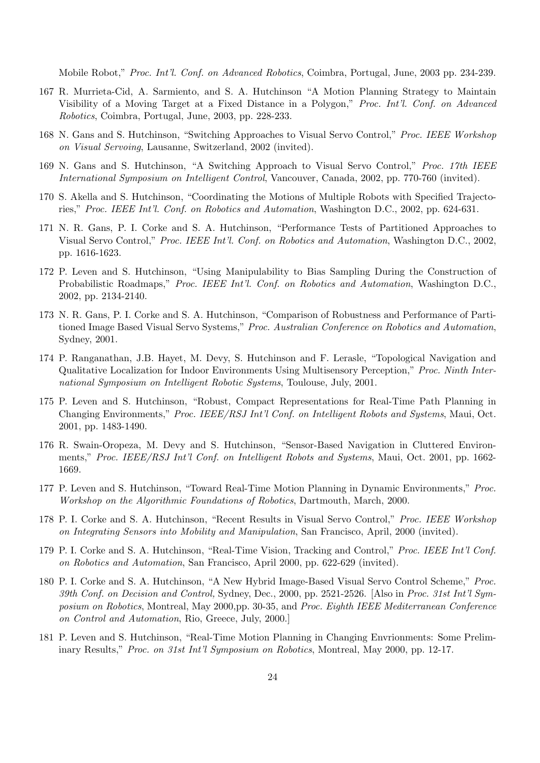Mobile Robot," Proc. Int'l. Conf. on Advanced Robotics, Coimbra, Portugal, June, 2003 pp. 234-239.

- 167 R. Murrieta-Cid, A. Sarmiento, and S. A. Hutchinson "A Motion Planning Strategy to Maintain Visibility of a Moving Target at a Fixed Distance in a Polygon," Proc. Int'l. Conf. on Advanced Robotics, Coimbra, Portugal, June, 2003, pp. 228-233.
- 168 N. Gans and S. Hutchinson, "Switching Approaches to Visual Servo Control," Proc. IEEE Workshop on Visual Servoing, Lausanne, Switzerland, 2002 (invited).
- 169 N. Gans and S. Hutchinson, "A Switching Approach to Visual Servo Control," Proc. 17th IEEE International Symposium on Intelligent Control, Vancouver, Canada, 2002, pp. 770-760 (invited).
- 170 S. Akella and S. Hutchinson, "Coordinating the Motions of Multiple Robots with Specified Trajectories," Proc. IEEE Int'l. Conf. on Robotics and Automation, Washington D.C., 2002, pp. 624-631.
- 171 N. R. Gans, P. I. Corke and S. A. Hutchinson, "Performance Tests of Partitioned Approaches to Visual Servo Control," Proc. IEEE Int'l. Conf. on Robotics and Automation, Washington D.C., 2002, pp. 1616-1623.
- 172 P. Leven and S. Hutchinson, "Using Manipulability to Bias Sampling During the Construction of Probabilistic Roadmaps," Proc. IEEE Int'l. Conf. on Robotics and Automation, Washington D.C., 2002, pp. 2134-2140.
- 173 N. R. Gans, P. I. Corke and S. A. Hutchinson, "Comparison of Robustness and Performance of Partitioned Image Based Visual Servo Systems," Proc. Australian Conference on Robotics and Automation, Sydney, 2001.
- 174 P. Ranganathan, J.B. Hayet, M. Devy, S. Hutchinson and F. Lerasle, "Topological Navigation and Qualitative Localization for Indoor Environments Using Multisensory Perception," Proc. Ninth International Symposium on Intelligent Robotic Systems, Toulouse, July, 2001.
- 175 P. Leven and S. Hutchinson, "Robust, Compact Representations for Real-Time Path Planning in Changing Environments," Proc. IEEE/RSJ Int'l Conf. on Intelligent Robots and Systems, Maui, Oct. 2001, pp. 1483-1490.
- 176 R. Swain-Oropeza, M. Devy and S. Hutchinson, "Sensor-Based Navigation in Cluttered Environments," Proc. IEEE/RSJ Int'l Conf. on Intelligent Robots and Systems, Maui, Oct. 2001, pp. 1662-1669.
- 177 P. Leven and S. Hutchinson, "Toward Real-Time Motion Planning in Dynamic Environments," Proc. Workshop on the Algorithmic Foundations of Robotics, Dartmouth, March, 2000.
- 178 P. I. Corke and S. A. Hutchinson, "Recent Results in Visual Servo Control," Proc. IEEE Workshop on Integrating Sensors into Mobility and Manipulation, San Francisco, April, 2000 (invited).
- 179 P. I. Corke and S. A. Hutchinson, "Real-Time Vision, Tracking and Control," Proc. IEEE Int'l Conf. on Robotics and Automation, San Francisco, April 2000, pp. 622-629 (invited).
- 180 P. I. Corke and S. A. Hutchinson, "A New Hybrid Image-Based Visual Servo Control Scheme," Proc. 39th Conf. on Decision and Control, Sydney, Dec., 2000, pp. 2521-2526. [Also in Proc. 31st Int'l Symposium on Robotics, Montreal, May 2000,pp. 30-35, and Proc. Eighth IEEE Mediterranean Conference on Control and Automation, Rio, Greece, July, 2000.]
- 181 P. Leven and S. Hutchinson, "Real-Time Motion Planning in Changing Envrionments: Some Preliminary Results," Proc. on 31st Int'l Symposium on Robotics, Montreal, May 2000, pp. 12-17.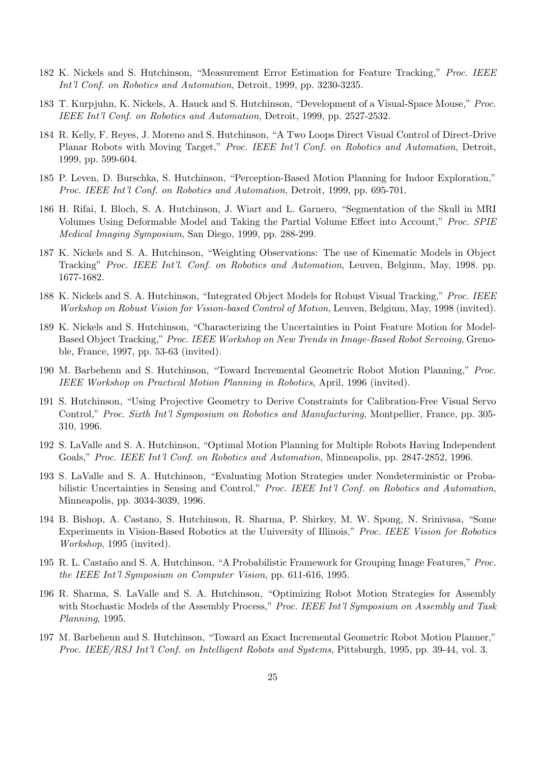- 182 K. Nickels and S. Hutchinson, "Measurement Error Estimation for Feature Tracking," Proc. IEEE Int'l Conf. on Robotics and Automation, Detroit, 1999, pp. 3230-3235.
- 183 T. Kurpjuhn, K. Nickels, A. Hauck and S. Hutchinson, "Development of a Visual-Space Mouse," Proc. IEEE Int'l Conf. on Robotics and Automation, Detroit, 1999, pp. 2527-2532.
- 184 R. Kelly, F. Reyes, J. Moreno and S. Hutchinson, "A Two Loops Direct Visual Control of Direct-Drive Planar Robots with Moving Target," Proc. IEEE Int'l Conf. on Robotics and Automation, Detroit, 1999, pp. 599-604.
- 185 P. Leven, D. Burschka, S. Hutchinson, "Perception-Based Motion Planning for Indoor Exploration," Proc. IEEE Int'l Conf. on Robotics and Automation, Detroit, 1999, pp. 695-701.
- 186 H. Rifai, I. Bloch, S. A. Hutchinson, J. Wiart and L. Garnero, "Segmentation of the Skull in MRI Volumes Using Deformable Model and Taking the Partial Volume Effect into Account," Proc. SPIE Medical Imaging Symposium, San Diego, 1999, pp. 288-299.
- 187 K. Nickels and S. A. Hutchinson, "Weighting Observations: The use of Kinematic Models in Object Tracking" Proc. IEEE Int'l. Conf. on Robotics and Automation, Leuven, Belgium, May, 1998. pp. 1677-1682.
- 188 K. Nickels and S. A. Hutchinson, "Integrated Object Models for Robust Visual Tracking," Proc. IEEE Workshop on Robust Vision for Vision-based Control of Motion, Leuven, Belgium, May, 1998 (invited).
- 189 K. Nickels and S. Hutchinson, "Characterizing the Uncertainties in Point Feature Motion for Model-Based Object Tracking," Proc. IEEE Workshop on New Trends in Image-Based Robot Servoing, Grenoble, France, 1997, pp. 53-63 (invited).
- 190 M. Barbehenn and S. Hutchinson, "Toward Incremental Geometric Robot Motion Planning," Proc. IEEE Workshop on Practical Motion Planning in Robotics, April, 1996 (invited).
- 191 S. Hutchinson, "Using Projective Geometry to Derive Constraints for Calibration-Free Visual Servo Control," Proc. Sixth Int'l Symposium on Robotics and Manufacturing, Montpellier, France, pp. 305- 310, 1996.
- 192 S. LaValle and S. A. Hutchinson, "Optimal Motion Planning for Multiple Robots Having Independent Goals," Proc. IEEE Int'l Conf. on Robotics and Automation, Minneapolis, pp. 2847-2852, 1996.
- 193 S. LaValle and S. A. Hutchinson, "Evaluating Motion Strategies under Nondeterministic or Probabilistic Uncertainties in Sensing and Control," Proc. IEEE Int'l Conf. on Robotics and Automation, Minneapolis, pp. 3034-3039, 1996.
- 194 B. Bishop, A. Castano, S. Hutchinson, R. Sharma, P. Shirkey, M. W. Spong, N. Srinivasa, "Some Experiments in Vision-Based Robotics at the University of Illinois," Proc. IEEE Vision for Robotics Workshop, 1995 (invited).
- 195 R. L. Castaño and S. A. Hutchinson, "A Probabilistic Framework for Grouping Image Features," Proc. the IEEE Int'l Symposium on Computer Vision, pp. 611-616, 1995.
- 196 R. Sharma, S. LaValle and S. A. Hutchinson, "Optimizing Robot Motion Strategies for Assembly with Stochastic Models of the Assembly Process," Proc. IEEE Int'l Symposium on Assembly and Task Planning, 1995.
- 197 M. Barbehenn and S. Hutchinson, "Toward an Exact Incremental Geometric Robot Motion Planner," Proc. IEEE/RSJ Int'l Conf. on Intelligent Robots and Systems, Pittsburgh, 1995, pp. 39-44, vol. 3.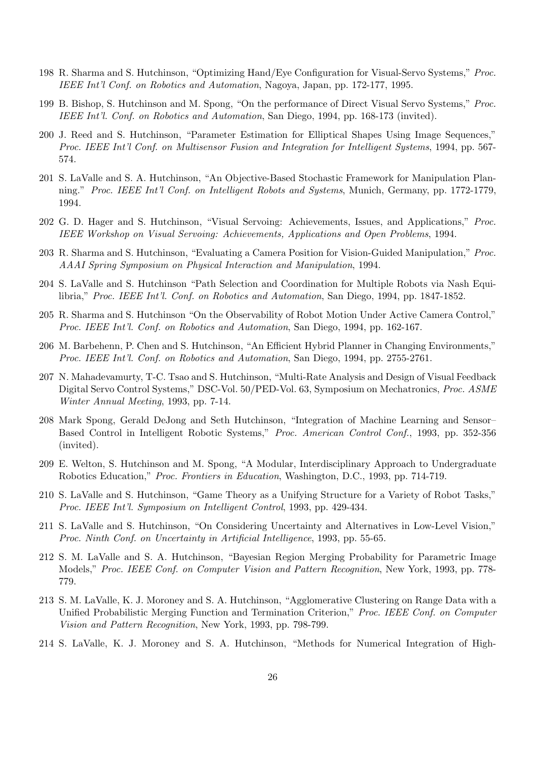- 198 R. Sharma and S. Hutchinson, "Optimizing Hand/Eye Configuration for Visual-Servo Systems," Proc. IEEE Int'l Conf. on Robotics and Automation, Nagoya, Japan, pp. 172-177, 1995.
- 199 B. Bishop, S. Hutchinson and M. Spong, "On the performance of Direct Visual Servo Systems," Proc. IEEE Int'l. Conf. on Robotics and Automation, San Diego, 1994, pp. 168-173 (invited).
- 200 J. Reed and S. Hutchinson, "Parameter Estimation for Elliptical Shapes Using Image Sequences," Proc. IEEE Int'l Conf. on Multisensor Fusion and Integration for Intelligent Systems, 1994, pp. 567- 574.
- 201 S. LaValle and S. A. Hutchinson, "An Objective-Based Stochastic Framework for Manipulation Planning." Proc. IEEE Int'l Conf. on Intelligent Robots and Systems, Munich, Germany, pp. 1772-1779, 1994.
- 202 G. D. Hager and S. Hutchinson, "Visual Servoing: Achievements, Issues, and Applications," Proc. IEEE Workshop on Visual Servoing: Achievements, Applications and Open Problems, 1994.
- 203 R. Sharma and S. Hutchinson, "Evaluating a Camera Position for Vision-Guided Manipulation," Proc. AAAI Spring Symposium on Physical Interaction and Manipulation, 1994.
- 204 S. LaValle and S. Hutchinson "Path Selection and Coordination for Multiple Robots via Nash Equilibria," Proc. IEEE Int'l. Conf. on Robotics and Automation, San Diego, 1994, pp. 1847-1852.
- 205 R. Sharma and S. Hutchinson "On the Observability of Robot Motion Under Active Camera Control," Proc. IEEE Int'l. Conf. on Robotics and Automation, San Diego, 1994, pp. 162-167.
- 206 M. Barbehenn, P. Chen and S. Hutchinson, "An Efficient Hybrid Planner in Changing Environments," Proc. IEEE Int'l. Conf. on Robotics and Automation, San Diego, 1994, pp. 2755-2761.
- 207 N. Mahadevamurty, T-C. Tsao and S. Hutchinson, "Multi-Rate Analysis and Design of Visual Feedback Digital Servo Control Systems," DSC-Vol. 50/PED-Vol. 63, Symposium on Mechatronics, Proc. ASME Winter Annual Meeting, 1993, pp. 7-14.
- 208 Mark Spong, Gerald DeJong and Seth Hutchinson, "Integration of Machine Learning and Sensor– Based Control in Intelligent Robotic Systems," Proc. American Control Conf., 1993, pp. 352-356 (invited).
- 209 E. Welton, S. Hutchinson and M. Spong, "A Modular, Interdisciplinary Approach to Undergraduate Robotics Education," Proc. Frontiers in Education, Washington, D.C., 1993, pp. 714-719.
- 210 S. LaValle and S. Hutchinson, "Game Theory as a Unifying Structure for a Variety of Robot Tasks," Proc. IEEE Int'l. Symposium on Intelligent Control, 1993, pp. 429-434.
- 211 S. LaValle and S. Hutchinson, "On Considering Uncertainty and Alternatives in Low-Level Vision," Proc. Ninth Conf. on Uncertainty in Artificial Intelligence, 1993, pp. 55-65.
- 212 S. M. LaValle and S. A. Hutchinson, "Bayesian Region Merging Probability for Parametric Image Models," Proc. IEEE Conf. on Computer Vision and Pattern Recognition, New York, 1993, pp. 778-779.
- 213 S. M. LaValle, K. J. Moroney and S. A. Hutchinson, "Agglomerative Clustering on Range Data with a Unified Probabilistic Merging Function and Termination Criterion," Proc. IEEE Conf. on Computer Vision and Pattern Recognition, New York, 1993, pp. 798-799.
- 214 S. LaValle, K. J. Moroney and S. A. Hutchinson, "Methods for Numerical Integration of High-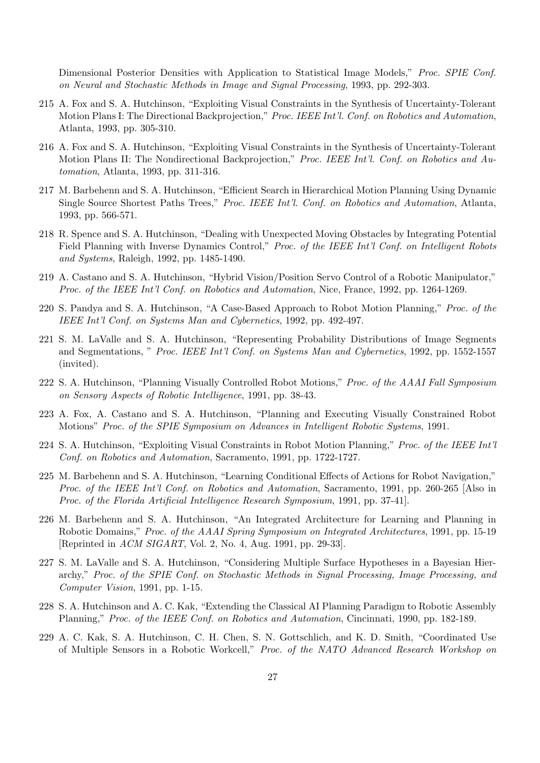Dimensional Posterior Densities with Application to Statistical Image Models," Proc. SPIE Conf. on Neural and Stochastic Methods in Image and Signal Processing, 1993, pp. 292-303.

- 215 A. Fox and S. A. Hutchinson, "Exploiting Visual Constraints in the Synthesis of Uncertainty-Tolerant Motion Plans I: The Directional Backprojection," Proc. IEEE Int'l. Conf. on Robotics and Automation, Atlanta, 1993, pp. 305-310.
- 216 A. Fox and S. A. Hutchinson, "Exploiting Visual Constraints in the Synthesis of Uncertainty-Tolerant Motion Plans II: The Nondirectional Backprojection," Proc. IEEE Int'l. Conf. on Robotics and Automation, Atlanta, 1993, pp. 311-316.
- 217 M. Barbehenn and S. A. Hutchinson, "Efficient Search in Hierarchical Motion Planning Using Dynamic Single Source Shortest Paths Trees," Proc. IEEE Int'l. Conf. on Robotics and Automation, Atlanta, 1993, pp. 566-571.
- 218 R. Spence and S. A. Hutchinson, "Dealing with Unexpected Moving Obstacles by Integrating Potential Field Planning with Inverse Dynamics Control," Proc. of the IEEE Int'l Conf. on Intelligent Robots and Systems, Raleigh, 1992, pp. 1485-1490.
- 219 A. Castano and S. A. Hutchinson, "Hybrid Vision/Position Servo Control of a Robotic Manipulator," Proc. of the IEEE Int'l Conf. on Robotics and Automation, Nice, France, 1992, pp. 1264-1269.
- 220 S. Pandya and S. A. Hutchinson, "A Case-Based Approach to Robot Motion Planning," Proc. of the IEEE Int'l Conf. on Systems Man and Cybernetics, 1992, pp. 492-497.
- 221 S. M. LaValle and S. A. Hutchinson, "Representing Probability Distributions of Image Segments and Segmentations, " Proc. IEEE Int'l Conf. on Systems Man and Cybernetics, 1992, pp. 1552-1557 (invited).
- 222 S. A. Hutchinson, "Planning Visually Controlled Robot Motions," Proc. of the AAAI Fall Symposium on Sensory Aspects of Robotic Intelligence, 1991, pp. 38-43.
- 223 A. Fox, A. Castano and S. A. Hutchinson, "Planning and Executing Visually Constrained Robot Motions" Proc. of the SPIE Symposium on Advances in Intelligent Robotic Systems, 1991.
- 224 S. A. Hutchinson, "Exploiting Visual Constraints in Robot Motion Planning," Proc. of the IEEE Int'l Conf. on Robotics and Automation, Sacramento, 1991, pp. 1722-1727.
- 225 M. Barbehenn and S. A. Hutchinson, "Learning Conditional Effects of Actions for Robot Navigation," Proc. of the IEEE Int'l Conf. on Robotics and Automation, Sacramento, 1991, pp. 260-265 [Also in Proc. of the Florida Artificial Intelligence Research Symposium, 1991, pp. 37-41].
- 226 M. Barbehenn and S. A. Hutchinson, "An Integrated Architecture for Learning and Planning in Robotic Domains," Proc. of the AAAI Spring Symposium on Integrated Architectures, 1991, pp. 15-19 [Reprinted in ACM SIGART, Vol. 2, No. 4, Aug. 1991, pp. 29-33].
- 227 S. M. LaValle and S. A. Hutchinson, "Considering Multiple Surface Hypotheses in a Bayesian Hierarchy," Proc. of the SPIE Conf. on Stochastic Methods in Signal Processing, Image Processing, and Computer Vision, 1991, pp. 1-15.
- 228 S. A. Hutchinson and A. C. Kak, "Extending the Classical AI Planning Paradigm to Robotic Assembly Planning," Proc. of the IEEE Conf. on Robotics and Automation, Cincinnati, 1990, pp. 182-189.
- 229 A. C. Kak, S. A. Hutchinson, C. H. Chen, S. N. Gottschlich, and K. D. Smith, "Coordinated Use of Multiple Sensors in a Robotic Workcell," Proc. of the NATO Advanced Research Workshop on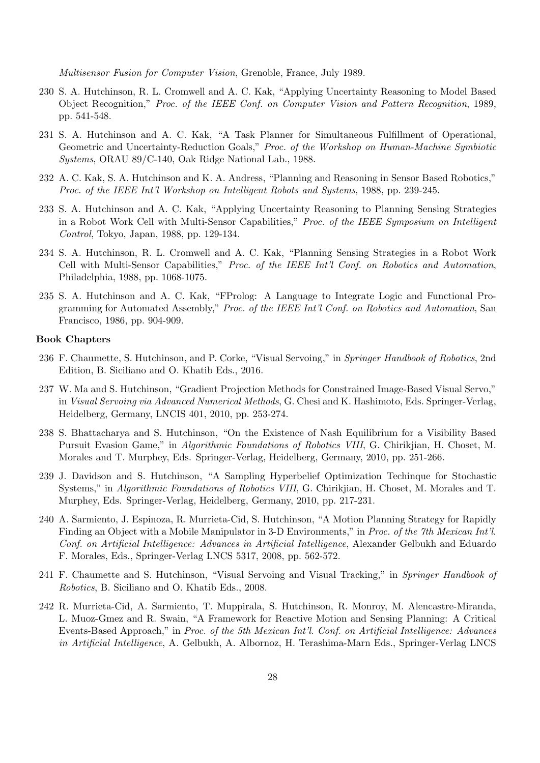Multisensor Fusion for Computer Vision, Grenoble, France, July 1989.

- 230 S. A. Hutchinson, R. L. Cromwell and A. C. Kak, "Applying Uncertainty Reasoning to Model Based Object Recognition," Proc. of the IEEE Conf. on Computer Vision and Pattern Recognition, 1989, pp. 541-548.
- 231 S. A. Hutchinson and A. C. Kak, "A Task Planner for Simultaneous Fulfillment of Operational, Geometric and Uncertainty-Reduction Goals," Proc. of the Workshop on Human-Machine Symbiotic Systems, ORAU 89/C-140, Oak Ridge National Lab., 1988.
- 232 A. C. Kak, S. A. Hutchinson and K. A. Andress, "Planning and Reasoning in Sensor Based Robotics," Proc. of the IEEE Int'l Workshop on Intelligent Robots and Systems, 1988, pp. 239-245.
- 233 S. A. Hutchinson and A. C. Kak, "Applying Uncertainty Reasoning to Planning Sensing Strategies in a Robot Work Cell with Multi-Sensor Capabilities," Proc. of the IEEE Symposium on Intelligent Control, Tokyo, Japan, 1988, pp. 129-134.
- 234 S. A. Hutchinson, R. L. Cromwell and A. C. Kak, "Planning Sensing Strategies in a Robot Work Cell with Multi-Sensor Capabilities," Proc. of the IEEE Int'l Conf. on Robotics and Automation, Philadelphia, 1988, pp. 1068-1075.
- 235 S. A. Hutchinson and A. C. Kak, "FProlog: A Language to Integrate Logic and Functional Programming for Automated Assembly," Proc. of the IEEE Int'l Conf. on Robotics and Automation, San Francisco, 1986, pp. 904-909.

#### Book Chapters

- 236 F. Chaumette, S. Hutchinson, and P. Corke, "Visual Servoing," in Springer Handbook of Robotics, 2nd Edition, B. Siciliano and O. Khatib Eds., 2016.
- 237 W. Ma and S. Hutchinson, "Gradient Projection Methods for Constrained Image-Based Visual Servo," in Visual Servoing via Advanced Numerical Methods, G. Chesi and K. Hashimoto, Eds. Springer-Verlag, Heidelberg, Germany, LNCIS 401, 2010, pp. 253-274.
- 238 S. Bhattacharya and S. Hutchinson, "On the Existence of Nash Equilibrium for a Visibility Based Pursuit Evasion Game," in *Algorithmic Foundations of Robotics VIII*, G. Chirikjian, H. Choset, M. Morales and T. Murphey, Eds. Springer-Verlag, Heidelberg, Germany, 2010, pp. 251-266.
- 239 J. Davidson and S. Hutchinson, "A Sampling Hyperbelief Optimization Techinque for Stochastic Systems," in *Algorithmic Foundations of Robotics VIII*, G. Chirikjian, H. Choset, M. Morales and T. Murphey, Eds. Springer-Verlag, Heidelberg, Germany, 2010, pp. 217-231.
- 240 A. Sarmiento, J. Espinoza, R. Murrieta-Cid, S. Hutchinson, "A Motion Planning Strategy for Rapidly Finding an Object with a Mobile Manipulator in 3-D Environments," in Proc. of the 7th Mexican Int'l. Conf. on Artificial Intelligence: Advances in Artificial Intelligence, Alexander Gelbukh and Eduardo F. Morales, Eds., Springer-Verlag LNCS 5317, 2008, pp. 562-572.
- 241 F. Chaumette and S. Hutchinson, "Visual Servoing and Visual Tracking," in Springer Handbook of Robotics, B. Siciliano and O. Khatib Eds., 2008.
- 242 R. Murrieta-Cid, A. Sarmiento, T. Muppirala, S. Hutchinson, R. Monroy, M. Alencastre-Miranda, L. Muoz-Gmez and R. Swain, "A Framework for Reactive Motion and Sensing Planning: A Critical Events-Based Approach," in Proc. of the 5th Mexican Int'l. Conf. on Artificial Intelligence: Advances in Artificial Intelligence, A. Gelbukh, A. Albornoz, H. Terashima-Marn Eds., Springer-Verlag LNCS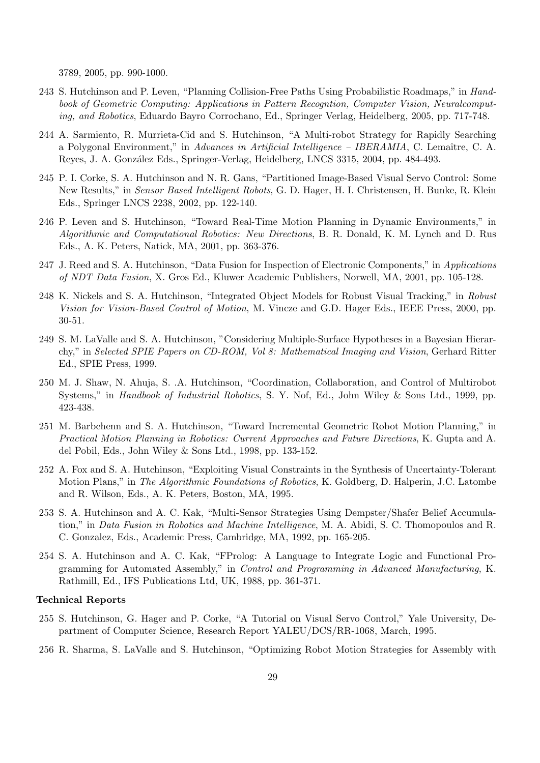3789, 2005, pp. 990-1000.

- 243 S. Hutchinson and P. Leven, "Planning Collision-Free Paths Using Probabilistic Roadmaps," in Handbook of Geometric Computing: Applications in Pattern Recogntion, Computer Vision, Neuralcomputing, and Robotics, Eduardo Bayro Corrochano, Ed., Springer Verlag, Heidelberg, 2005, pp. 717-748.
- 244 A. Sarmiento, R. Murrieta-Cid and S. Hutchinson, "A Multi-robot Strategy for Rapidly Searching a Polygonal Environment," in Advances in Artificial Intelligence – IBERAMIA, C. Lemaître, C. A. Reyes, J. A. Gonz´alez Eds., Springer-Verlag, Heidelberg, LNCS 3315, 2004, pp. 484-493.
- 245 P. I. Corke, S. A. Hutchinson and N. R. Gans, "Partitioned Image-Based Visual Servo Control: Some New Results," in *Sensor Based Intelligent Robots*, G. D. Hager, H. I. Christensen, H. Bunke, R. Klein Eds., Springer LNCS 2238, 2002, pp. 122-140.
- 246 P. Leven and S. Hutchinson, "Toward Real-Time Motion Planning in Dynamic Environments," in Algorithmic and Computational Robotics: New Directions, B. R. Donald, K. M. Lynch and D. Rus Eds., A. K. Peters, Natick, MA, 2001, pp. 363-376.
- 247 J. Reed and S. A. Hutchinson, "Data Fusion for Inspection of Electronic Components," in Applications of NDT Data Fusion, X. Gros Ed., Kluwer Academic Publishers, Norwell, MA, 2001, pp. 105-128.
- 248 K. Nickels and S. A. Hutchinson, "Integrated Object Models for Robust Visual Tracking," in Robust Vision for Vision-Based Control of Motion, M. Vincze and G.D. Hager Eds., IEEE Press, 2000, pp. 30-51.
- 249 S. M. LaValle and S. A. Hutchinson, "Considering Multiple-Surface Hypotheses in a Bayesian Hierarchy," in Selected SPIE Papers on CD-ROM, Vol 8: Mathematical Imaging and Vision, Gerhard Ritter Ed., SPIE Press, 1999.
- 250 M. J. Shaw, N. Ahuja, S. .A. Hutchinson, "Coordination, Collaboration, and Control of Multirobot Systems," in Handbook of Industrial Robotics, S. Y. Nof, Ed., John Wiley & Sons Ltd., 1999, pp. 423-438.
- 251 M. Barbehenn and S. A. Hutchinson, "Toward Incremental Geometric Robot Motion Planning," in Practical Motion Planning in Robotics: Current Approaches and Future Directions, K. Gupta and A. del Pobil, Eds., John Wiley & Sons Ltd., 1998, pp. 133-152.
- 252 A. Fox and S. A. Hutchinson, "Exploiting Visual Constraints in the Synthesis of Uncertainty-Tolerant Motion Plans," in The Algorithmic Foundations of Robotics, K. Goldberg, D. Halperin, J.C. Latombe and R. Wilson, Eds., A. K. Peters, Boston, MA, 1995.
- 253 S. A. Hutchinson and A. C. Kak, "Multi-Sensor Strategies Using Dempster/Shafer Belief Accumulation," in Data Fusion in Robotics and Machine Intelligence, M. A. Abidi, S. C. Thomopoulos and R. C. Gonzalez, Eds., Academic Press, Cambridge, MA, 1992, pp. 165-205.
- 254 S. A. Hutchinson and A. C. Kak, "FProlog: A Language to Integrate Logic and Functional Programming for Automated Assembly," in Control and Programming in Advanced Manufacturing, K. Rathmill, Ed., IFS Publications Ltd, UK, 1988, pp. 361-371.

#### Technical Reports

- 255 S. Hutchinson, G. Hager and P. Corke, "A Tutorial on Visual Servo Control," Yale University, Department of Computer Science, Research Report YALEU/DCS/RR-1068, March, 1995.
- 256 R. Sharma, S. LaValle and S. Hutchinson, "Optimizing Robot Motion Strategies for Assembly with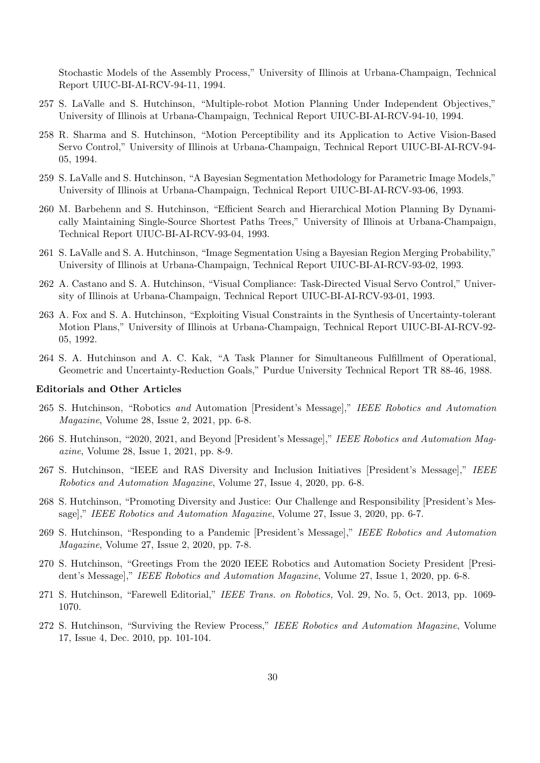Stochastic Models of the Assembly Process," University of Illinois at Urbana-Champaign, Technical Report UIUC-BI-AI-RCV-94-11, 1994.

- 257 S. LaValle and S. Hutchinson, "Multiple-robot Motion Planning Under Independent Objectives," University of Illinois at Urbana-Champaign, Technical Report UIUC-BI-AI-RCV-94-10, 1994.
- 258 R. Sharma and S. Hutchinson, "Motion Perceptibility and its Application to Active Vision-Based Servo Control," University of Illinois at Urbana-Champaign, Technical Report UIUC-BI-AI-RCV-94- 05, 1994.
- 259 S. LaValle and S. Hutchinson, "A Bayesian Segmentation Methodology for Parametric Image Models," University of Illinois at Urbana-Champaign, Technical Report UIUC-BI-AI-RCV-93-06, 1993.
- 260 M. Barbehenn and S. Hutchinson, "Efficient Search and Hierarchical Motion Planning By Dynamically Maintaining Single-Source Shortest Paths Trees," University of Illinois at Urbana-Champaign, Technical Report UIUC-BI-AI-RCV-93-04, 1993.
- 261 S. LaValle and S. A. Hutchinson, "Image Segmentation Using a Bayesian Region Merging Probability," University of Illinois at Urbana-Champaign, Technical Report UIUC-BI-AI-RCV-93-02, 1993.
- 262 A. Castano and S. A. Hutchinson, "Visual Compliance: Task-Directed Visual Servo Control," University of Illinois at Urbana-Champaign, Technical Report UIUC-BI-AI-RCV-93-01, 1993.
- 263 A. Fox and S. A. Hutchinson, "Exploiting Visual Constraints in the Synthesis of Uncertainty-tolerant Motion Plans," University of Illinois at Urbana-Champaign, Technical Report UIUC-BI-AI-RCV-92- 05, 1992.
- 264 S. A. Hutchinson and A. C. Kak, "A Task Planner for Simultaneous Fulfillment of Operational, Geometric and Uncertainty-Reduction Goals," Purdue University Technical Report TR 88-46, 1988.

#### Editorials and Other Articles

- 265 S. Hutchinson, "Robotics and Automation [President's Message]," IEEE Robotics and Automation Magazine, Volume 28, Issue 2, 2021, pp. 6-8.
- 266 S. Hutchinson, "2020, 2021, and Beyond [President's Message]," IEEE Robotics and Automation Magazine, Volume 28, Issue 1, 2021, pp. 8-9.
- 267 S. Hutchinson, "IEEE and RAS Diversity and Inclusion Initiatives [President's Message]," IEEE Robotics and Automation Magazine, Volume 27, Issue 4, 2020, pp. 6-8.
- 268 S. Hutchinson, "Promoting Diversity and Justice: Our Challenge and Responsibility [President's Message]," IEEE Robotics and Automation Magazine, Volume 27, Issue 3, 2020, pp. 6-7.
- 269 S. Hutchinson, "Responding to a Pandemic [President's Message]," IEEE Robotics and Automation Magazine, Volume 27, Issue 2, 2020, pp. 7-8.
- 270 S. Hutchinson, "Greetings From the 2020 IEEE Robotics and Automation Society President [President's Message]," IEEE Robotics and Automation Magazine, Volume 27, Issue 1, 2020, pp. 6-8.
- 271 S. Hutchinson, "Farewell Editorial," IEEE Trans. on Robotics, Vol. 29, No. 5, Oct. 2013, pp. 1069- 1070.
- 272 S. Hutchinson, "Surviving the Review Process," IEEE Robotics and Automation Magazine, Volume 17, Issue 4, Dec. 2010, pp. 101-104.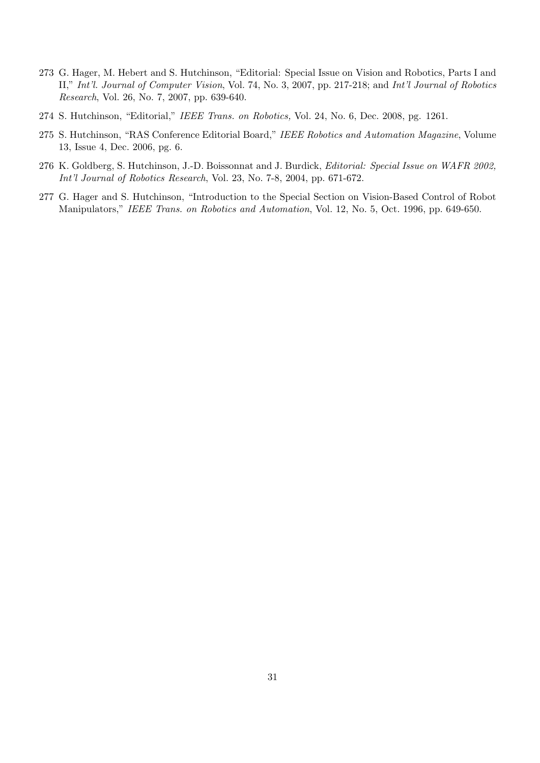- 273 G. Hager, M. Hebert and S. Hutchinson, "Editorial: Special Issue on Vision and Robotics, Parts I and II," Int'l. Journal of Computer Vision, Vol. 74, No. 3, 2007, pp. 217-218; and Int'l Journal of Robotics Research, Vol. 26, No. 7, 2007, pp. 639-640.
- 274 S. Hutchinson, "Editorial," IEEE Trans. on Robotics, Vol. 24, No. 6, Dec. 2008, pg. 1261.
- 275 S. Hutchinson, "RAS Conference Editorial Board," IEEE Robotics and Automation Magazine, Volume 13, Issue 4, Dec. 2006, pg. 6.
- 276 K. Goldberg, S. Hutchinson, J.-D. Boissonnat and J. Burdick, Editorial: Special Issue on WAFR 2002, Int'l Journal of Robotics Research, Vol. 23, No. 7-8, 2004, pp. 671-672.
- 277 G. Hager and S. Hutchinson, "Introduction to the Special Section on Vision-Based Control of Robot Manipulators," IEEE Trans. on Robotics and Automation, Vol. 12, No. 5, Oct. 1996, pp. 649-650.